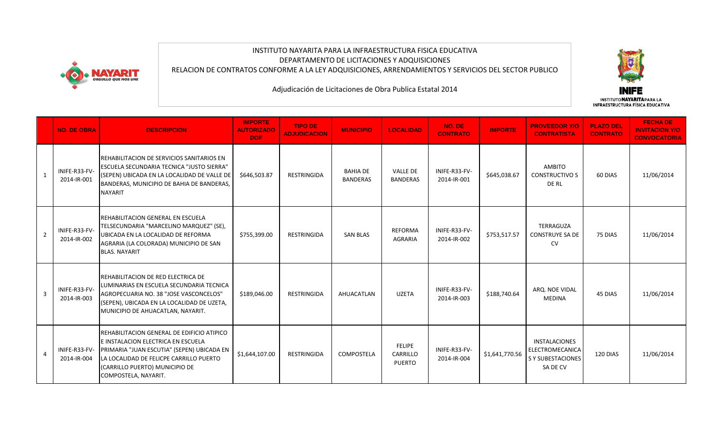

## INSTITUTO NAYARITA PARA LA INFRAESTRUCTURA FISICA EDUCATIVA DEPARTAMENTO DE LICITACIONES Y ADQUISICIONES RELACION DE CONTRATOS CONFORME A LA LEY ADQUISICIONES, ARRENDAMIENTOS Y SERVICIOS DEL SECTOR PUBLICO



|                | <b>NO. DE OBRA</b>           | <b>DESCRIPCION</b>                                                                                                                                                                                                                  | <b>IMPORTE</b><br><b>AUTORIZADO</b><br>DOF: | <b>TIPO DE</b><br><b>ADJUDICACION</b> | <b>MUNICIPIO</b>                   | <b>LOCALIDAD</b>                           | NO. DE<br><b>CONTRATO</b>    | <b>IMPORTE</b> | <b>PROVEEDOR Y/O</b><br><b>CONTRATISTA</b>                                      | <b>PLAZO DEL</b><br><b>CONTRATO</b> | <b>FECHADE</b><br><b>INVITACION Y/O</b><br><b>CONVOCATORIA</b> |
|----------------|------------------------------|-------------------------------------------------------------------------------------------------------------------------------------------------------------------------------------------------------------------------------------|---------------------------------------------|---------------------------------------|------------------------------------|--------------------------------------------|------------------------------|----------------|---------------------------------------------------------------------------------|-------------------------------------|----------------------------------------------------------------|
| 1              | INIFE-R33-FV-<br>2014-IR-001 | REHABILITACION DE SERVICIOS SANITARIOS EN<br><b>ESCUELA SECUNDARIA TECNICA "JUSTO SIERRA"</b><br>(SEPEN) UBICADA EN LA LOCALIDAD DE VALLE DE<br>BANDERAS, MUNICIPIO DE BAHIA DE BANDERAS,<br><b>NAYARIT</b>                         | \$646,503.87                                | <b>RESTRINGIDA</b>                    | <b>BAHIA DE</b><br><b>BANDERAS</b> | <b>VALLE DE</b><br><b>BANDERAS</b>         | INIFE-R33-FV-<br>2014-IR-001 | \$645,038.67   | AMBITO<br><b>CONSTRUCTIVO S</b><br>DE RL                                        | 60 DIAS                             | 11/06/2014                                                     |
| $\overline{2}$ | INIFE-R33-FV-<br>2014-IR-002 | REHABILITACION GENERAL EN ESCUELA<br>TELSECUNDARIA "MARCELINO MARQUEZ" (SE),<br>UBICADA EN LA LOCALIDAD DE REFORMA<br>AGRARIA (LA COLORADA) MUNICIPIO DE SAN<br><b>BLAS, NAYARIT</b>                                                | \$755,399.00                                | <b>RESTRINGIDA</b>                    | <b>SAN BLAS</b>                    | REFORMA<br><b>AGRARIA</b>                  | INIFE-R33-FV-<br>2014-IR-002 | \$753,517.57   | TERRAGUZA<br><b>CONSTRUYE SA DE</b><br><b>CV</b>                                | 75 DIAS                             | 11/06/2014                                                     |
| $\overline{3}$ | INIFE-R33-FV-<br>2014-IR-003 | REHABILITACION DE RED ELECTRICA DE<br>LUMINARIAS EN ESCUELA SECUNDARIA TECNICA<br>AGROPECUARIA NO. 38 "JOSE VASCONCELOS"<br>(SEPEN), UBICADA EN LA LOCALIDAD DE UZETA,<br>MUNICIPIO DE AHUACATLAN, NAYARIT.                         | \$189,046.00                                | <b>RESTRINGIDA</b>                    | AHUACATLAN                         | <b>UZETA</b>                               | INIFE-R33-FV-<br>2014-IR-003 | \$188,740.64   | ARQ. NOE VIDAL<br><b>MEDINA</b>                                                 | 45 DIAS                             | 11/06/2014                                                     |
| $\overline{4}$ | INIFE-R33-FV-<br>2014-IR-004 | REHABILITACION GENERAL DE EDIFICIO ATIPICO<br>E INSTALACION ELECTRICA EN ESCUELA<br>PRIMARIA "JUAN ESCUTIA" (SEPEN) UBICADA EN<br>LA LOCALIDAD DE FELICPE CARRILLO PUERTO<br>(CARRILLO PUERTO) MUNICIPIO DE<br>COMPOSTELA, NAYARIT. | \$1,644,107.00                              | <b>RESTRINGIDA</b>                    | COMPOSTELA                         | <b>FELIPE</b><br>CARRILLO<br><b>PUERTO</b> | INIFE-R33-FV-<br>2014-IR-004 | \$1,641,770.56 | <b>INSTALACIONES</b><br>ELECTROMECANICA<br><b>S Y SUBESTACIONES</b><br>SA DE CV | 120 DIAS                            | 11/06/2014                                                     |

Adjudicación de Licitaciones de Obra Publica Estatal 2014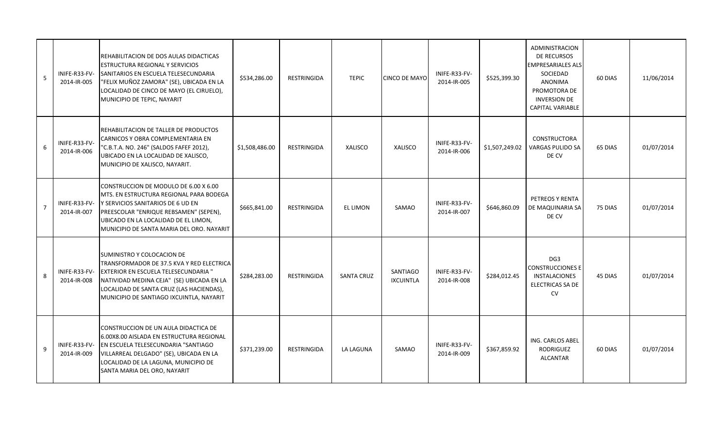| 5              | INIFE-R33-FV-<br>2014-IR-005 | REHABILITACION DE DOS AULAS DIDACTICAS<br><b>ESTRUCTURA REGIONAL Y SERVICIOS</b><br>SANITARIOS EN ESCUELA TELESECUNDARIA<br>"FELIX MUÑOZ ZAMORA" (SE), UBICADA EN LA<br>LOCALIDAD DE CINCO DE MAYO (EL CIRUELO),<br>MUNICIPIO DE TEPIC, NAYARIT             | \$534,286.00   | <b>RESTRINGIDA</b> | <b>TEPIC</b>      | <b>CINCO DE MAYO</b>                | INIFE-R33-FV-<br>2014-IR-005 | \$525,399.30   | <b>ADMINISTRACION</b><br>DE RECURSOS<br><b>EMPRESARIALES ALS</b><br>SOCIEDAD<br>ANONIMA<br>PROMOTORA DE<br><b>INVERSION DE</b><br><b>CAPITAL VARIABLE</b> | 60 DIAS | 11/06/2014 |
|----------------|------------------------------|-------------------------------------------------------------------------------------------------------------------------------------------------------------------------------------------------------------------------------------------------------------|----------------|--------------------|-------------------|-------------------------------------|------------------------------|----------------|-----------------------------------------------------------------------------------------------------------------------------------------------------------|---------|------------|
| 6              | INIFE-R33-FV-<br>2014-IR-006 | REHABILITACION DE TALLER DE PRODUCTOS<br>CARNICOS Y OBRA COMPLEMENTARIA EN<br>"C.B.T.A. NO. 246" (SALDOS FAFEF 2012),<br>UBICADO EN LA LOCALIDAD DE XALISCO,<br>MUNICIPIO DE XALISCO, NAYARIT.                                                              | \$1,508,486.00 | <b>RESTRINGIDA</b> | <b>XALISCO</b>    | XALISCO                             | INIFE-R33-FV-<br>2014-IR-006 | \$1,507,249.02 | <b>CONSTRUCTORA</b><br><b>VARGAS PULIDO SA</b><br>DE CV                                                                                                   | 65 DIAS | 01/07/2014 |
| $\overline{7}$ | INIFE-R33-FV-<br>2014-IR-007 | CONSTRUCCION DE MODULO DE 6.00 X 6.00<br>MTS. EN ESTRUCTURA REGIONAL PARA BODEGA<br>Y SERVICIOS SANITARIOS DE 6 UD EN<br>PREESCOLAR "ENRIQUE REBSAMEN" (SEPEN),<br>UBICADO EN LA LOCALIDAD DE EL LIMON,<br>MUNICIPIO DE SANTA MARIA DEL ORO. NAYARIT        | \$665,841.00   | <b>RESTRINGIDA</b> | <b>EL LIMON</b>   | SAMAO                               | INIFE-R33-FV-<br>2014-IR-007 | \$646,860.09   | PETREOS Y RENTA<br>DE MAQUINARIA SA<br>DE CV                                                                                                              | 75 DIAS | 01/07/2014 |
| 8              | INIFE-R33-FV-<br>2014-IR-008 | SUMINISTRO Y COLOCACION DE<br>TRANSFORMADOR DE 37.5 KVA Y RED ELECTRICA<br><b>EXTERIOR EN ESCUELA TELESECUNDARIA "</b><br>NATIVIDAD MEDINA CEJA" (SE) UBICADA EN LA<br>LOCALIDAD DE SANTA CRUZ (LAS HACIENDAS),<br>MUNICIPIO DE SANTIAGO IXCUINTLA, NAYARIT | \$284,283.00   | RESTRINGIDA        | <b>SANTA CRUZ</b> | <b>SANTIAGO</b><br><b>IXCUINTLA</b> | INIFE-R33-FV-<br>2014-IR-008 | \$284,012.45   | DG <sub>3</sub><br><b>CONSTRUCCIONES E</b><br><b>INSTALACIONES</b><br><b>ELECTRICAS SA DE</b><br><b>CV</b>                                                | 45 DIAS | 01/07/2014 |
| 9              | INIFE-R33-FV-<br>2014-IR-009 | CONSTRUCCION DE UN AULA DIDACTICA DE<br>6.00X8.00 AISLADA EN ESTRUCTURA REGIONAL<br>EN ESCUELA TELESECUNDARIA "SANTIAGO<br>VILLARREAL DELGADO" (SE), UBICADA EN LA<br>LOCALIDAD DE LA LAGUNA, MUNICIPIO DE<br>SANTA MARIA DEL ORO, NAYARIT                  | \$371,239.00   | <b>RESTRINGIDA</b> | LA LAGUNA         | SAMAO                               | INIFE-R33-FV-<br>2014-IR-009 | \$367,859.92   | ING. CARLOS ABEL<br><b>RODRIGUEZ</b><br><b>ALCANTAR</b>                                                                                                   | 60 DIAS | 01/07/2014 |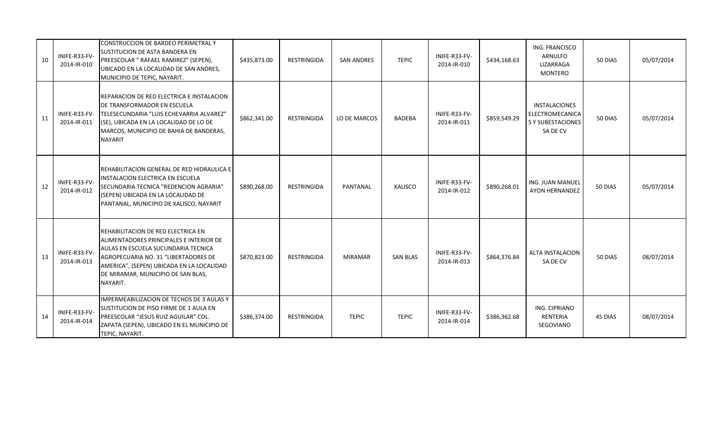| 10 | INIFE-R33-FV-<br>2014-IR-010 | CONSTRUCCION DE BARDEO PERIMETRAL Y<br>SUSTITUCION DE ASTA BANDERA EN<br>PREESCOLAR " RAFAEL RAMIREZ" (SEPEN),<br>UBICADO EN LA LOCALIDAD DE SAN ANDRES,<br>MUNICIPIO DE TEPIC, NAYARIT.                                                                    | \$435,873.00 | RESTRINGIDA        | <b>SAN ANDRES</b> | <b>TEPIC</b>    | INIFE-R33-FV-<br>2014-IR-010 | \$434,168.63 | ING. FRANCISCO<br>ARNULFO<br>LIZARRAGA<br>MONTERO                        | 50 DIAS | 05/07/2014 |
|----|------------------------------|-------------------------------------------------------------------------------------------------------------------------------------------------------------------------------------------------------------------------------------------------------------|--------------|--------------------|-------------------|-----------------|------------------------------|--------------|--------------------------------------------------------------------------|---------|------------|
| 11 | 2014-IR-011                  | REPARACION DE RED ELECTRICA E INSTALACION<br>DE TRANSFORMADOR EN ESCUELA<br>INIFE-R33-FV- TELESECUNDARIA "LUIS ECHEVARRIA ALVAREZ"<br>(SE), UBICADA EN LA LOCALIDAD DE LO DE<br>MARCOS, MUNICIPIO DE BAHIA DE BANDERAS,<br><b>NAYARIT</b>                   | \$862,341.00 | <b>RESTRINGIDA</b> | LO DE MARCOS      | BADEBA          | INIFE-R33-FV-<br>2014-IR-011 | \$859,549.29 | INSTALACIONES<br>ELECTROMECANICA<br><b>S Y SUBESTACIONES</b><br>SA DE CV | 50 DIAS | 05/07/2014 |
| 12 | INIFE-R33-FV-<br>2014-IR-012 | REHABILITACION GENERAL DE RED HIDRAULICA E<br>INSTALACION ELECTRICA EN ESCUELA<br>SECUNDARIA TECNICA "REDENCION AGRARIA"<br>(SEPEN) UBICADA EN LA LOCALIDAD DE<br>PANTANAL, MUNICIPIO DE XALISCO, NAYARIT                                                   | \$890,268.00 | <b>RESTRINGIDA</b> | PANTANAL          | XALISCO         | INIFE-R33-FV-<br>2014-IR-012 | \$890,268.01 | ING. JUAN MANUEL<br><b>AYON HERNANDEZ</b>                                | 50 DIAS | 05/07/2014 |
| 13 | INIFE-R33-FV-<br>2014-IR-013 | REHABILITACION DE RED ELECTRICA EN<br>ALIMENTADORES PRINCIPALES E INTERIOR DE<br>AULAS EN ESCUELA SUCUNDARIA TECNICA<br>AGROPECUARIA NO. 31 "LIBERTADORES DE<br>AMERICA", (SEPEN) UBICADA EN LA LOCALIDAD<br>DE MIRAMAR, MUNICIPIO DE SAN BLAS,<br>NAYARIT. | \$870,823.00 | <b>RESTRINGIDA</b> | <b>MIRAMAR</b>    | <b>SAN BLAS</b> | INIFE-R33-FV-<br>2014-IR-013 | \$864,376.84 | ALTA INSTALACION<br>SA DE CV                                             | 50 DIAS | 08/07/2014 |
| 14 | INIFE-R33-FV-<br>2014-IR-014 | IMPERMEABILIZACION DE TECHOS DE 3 AULAS Y<br>SUSTITUCION DE PISO FIRME DE 1 AULA EN<br>PREESCOLAR "JESUS RUIZ AGUILAR" COL.<br>ZAPATA (SEPEN), UBICADO EN EL MUNICIPIO DE<br>TEPIC, NAYARIT.                                                                | \$386,374.00 | RESTRINGIDA        | <b>TEPIC</b>      | <b>TEPIC</b>    | INIFE-R33-FV-<br>2014-IR-014 | \$386,362.68 | ING. CIPRIANO<br>RENTERIA<br>SEGOVIANO                                   | 45 DIAS | 08/07/2014 |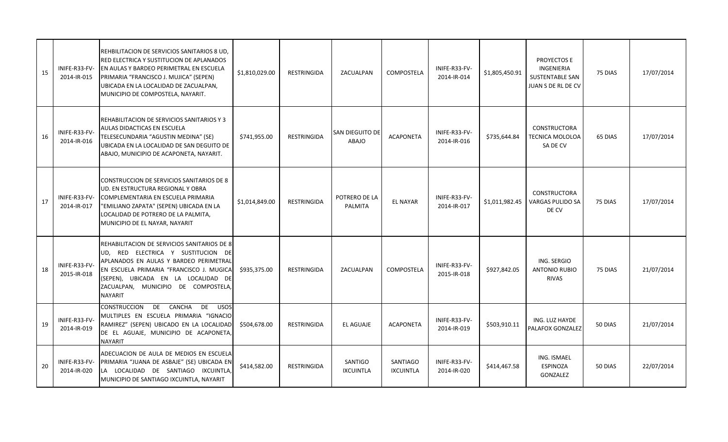| 15 | INIFE-R33-FV-<br>2014-IR-015 | REHBILITACION DE SERVICIOS SANITARIOS 8 UD,<br>RED ELECTRICA Y SUSTITUCION DE APLANADOS<br>EN AULAS Y BARDEO PERIMETRAL EN ESCUELA<br>PRIMARIA "FRANCISCO J. MUJICA" (SEPEN)<br>UBICADA EN LA LOCALIDAD DE ZACUALPAN,<br>MUNICIPIO DE COMPOSTELA, NAYARIT.             | \$1,810,029.00 | <b>RESTRINGIDA</b> | ZACUALPAN                              | COMPOSTELA                   | INIFE-R33-FV-<br>2014-IR-014 | \$1,805,450.91 | PROYECTOS E<br>INGENIERIA<br><b>SUSTENTABLE SAN</b><br>JUAN S DE RL DE CV | 75 DIAS | 17/07/2014 |
|----|------------------------------|------------------------------------------------------------------------------------------------------------------------------------------------------------------------------------------------------------------------------------------------------------------------|----------------|--------------------|----------------------------------------|------------------------------|------------------------------|----------------|---------------------------------------------------------------------------|---------|------------|
| 16 | INIFE-R33-FV-<br>2014-IR-016 | REHABILITACION DE SERVICIOS SANITARIOS Y 3<br>AULAS DIDACTICAS EN ESCUELA<br>TELESECUNDARIA "AGUSTIN MEDINA" (SE)<br>UBICADA EN LA LOCALIDAD DE SAN DEGUITO DE<br>ABAJO, MUNICIPIO DE ACAPONETA, NAYARIT.                                                              | \$741,955.00   | <b>RESTRINGIDA</b> | <b>SAN DIEGUITO DE</b><br><b>ABAJO</b> | <b>ACAPONETA</b>             | INIFE-R33-FV-<br>2014-IR-016 | \$735,644.84   | <b>CONSTRUCTORA</b><br><b>TECNICA MOLOLOA</b><br>SA DE CV                 | 65 DIAS | 17/07/2014 |
| 17 | INIFE-R33-FV-<br>2014-IR-017 | CONSTRUCCION DE SERVICIOS SANITARIOS DE 8<br>UD. EN ESTRUCTURA REGIONAL Y OBRA<br>COMPLEMENTARIA EN ESCUELA PRIMARIA<br>"EMILIANO ZAPATA" (SEPEN) UBICADA EN LA<br>LOCALIDAD DE POTRERO DE LA PALMITA,<br>MUNICIPIO DE EL NAYAR, NAYARIT                               | \$1,014,849.00 | <b>RESTRINGIDA</b> | POTRERO DE LA<br>PALMITA               | <b>EL NAYAR</b>              | INIFE-R33-FV-<br>2014-IR-017 | \$1,011,982.45 | <b>CONSTRUCTORA</b><br><b>VARGAS PULIDO SA</b><br>DE CV                   | 75 DIAS | 17/07/2014 |
| 18 | INIFE-R33-FV-<br>2015-IR-018 | REHABILITACION DE SERVICIOS SANITARIOS DE 8<br>UD, RED ELECTRICA Y SUSTITUCION DE<br>APLANADOS EN AULAS Y BARDEO PERIMETRAL<br>EN ESCUELA PRIMARIA "FRANCISCO J. MUGICA<br>(SEPEN), UBICADA EN LA LOCALIDAD DE<br>ZACUALPAN, MUNICIPIO DE COMPOSTELA<br><b>NAYARIT</b> | \$935,375.00   | <b>RESTRINGIDA</b> | ZACUALPAN                              | COMPOSTELA                   | INIFE-R33-FV-<br>2015-IR-018 | \$927,842.05   | ING. SERGIO<br><b>ANTONIO RUBIO</b><br><b>RIVAS</b>                       | 75 DIAS | 21/07/2014 |
| 19 | INIFE-R33-FV-<br>2014-IR-019 | <b>CONSTRUCCION</b><br>DE CANCHA<br>DE<br><b>USOS</b><br>MULTIPLES EN ESCUELA PRIMARIA "IGNACIO<br>RAMIREZ" (SEPEN) UBICADO EN LA LOCALIDAD<br>DE EL AGUAJE, MUNICIPIO DE ACAPONETA,<br><b>NAYARIT</b>                                                                 | \$504,678.00   | <b>RESTRINGIDA</b> | EL AGUAJE                              | <b>ACAPONETA</b>             | INIFE-R33-FV-<br>2014-IR-019 | \$503,910.11   | ING. LUZ HAYDE<br>PALAFOX GONZALEZ                                        | 50 DIAS | 21/07/2014 |
| 20 | INIFE-R33-FV-<br>2014-IR-020 | ADECUACION DE AULA DE MEDIOS EN ESCUELA<br>PRIMARIA "JUANA DE ASBAJE" (SE) UBICADA EN<br>LA LOCALIDAD DE SANTIAGO IXCUINTLA<br>MUNICIPIO DE SANTIAGO IXCUINTLA, NAYARIT                                                                                                | \$414,582.00   | RESTRINGIDA        | <b>SANTIGO</b><br><b>IXCUINTLA</b>     | SANTIAGO<br><b>IXCUINTLA</b> | INIFE-R33-FV-<br>2014-IR-020 | \$414,467.58   | ING. ISMAEL<br>ESPINOZA<br>GONZALEZ                                       | 50 DIAS | 22/07/2014 |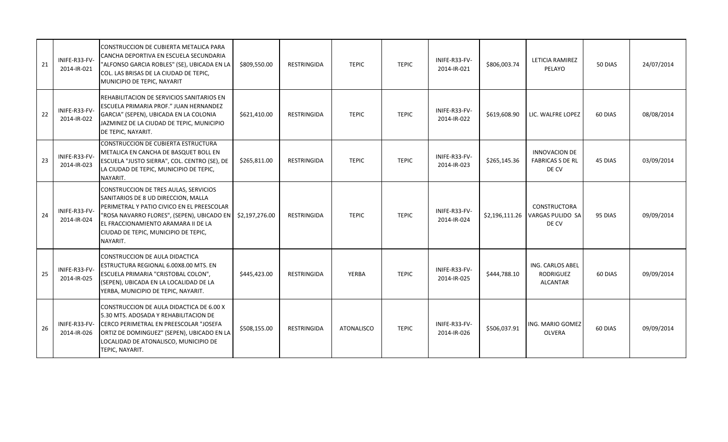| 21 | INIFE-R33-FV-<br>2014-IR-021 | CONSTRUCCION DE CUBIERTA METALICA PARA<br>CANCHA DEPORTIVA EN ESCUELA SECUNDARIA<br>"ALFONSO GARCIA ROBLES" (SE), UBICADA EN LA<br>COL. LAS BRISAS DE LA CIUDAD DE TEPIC,<br>MUNICIPIO DE TEPIC, NAYARIT                                                            | \$809,550.00   | RESTRINGIDA | <b>TEPIC</b> | <b>TEPIC</b> | INIFE-R33-FV-<br>2014-IR-021 | \$806,003.74   | LETICIA RAMIREZ<br>PELAYO                                | 50 DIAS | 24/07/2014 |
|----|------------------------------|---------------------------------------------------------------------------------------------------------------------------------------------------------------------------------------------------------------------------------------------------------------------|----------------|-------------|--------------|--------------|------------------------------|----------------|----------------------------------------------------------|---------|------------|
| 22 | INIFE-R33-FV-<br>2014-IR-022 | REHABILITACION DE SERVICIOS SANITARIOS EN<br>ESCUELA PRIMARIA PROF." JUAN HERNANDEZ<br>GARCIA" (SEPEN), UBICADA EN LA COLONIA<br>JAZMINEZ DE LA CIUDAD DE TEPIC, MUNICIPIO<br>DE TEPIC, NAYARIT.                                                                    | \$621,410.00   | RESTRINGIDA | <b>TEPIC</b> | <b>TEPIC</b> | INIFE-R33-FV-<br>2014-IR-022 | \$619,608.90   | LIC. WALFRE LOPEZ                                        | 60 DIAS | 08/08/2014 |
| 23 | INIFE-R33-FV-<br>2014-IR-023 | CONSTRUCCION DE CUBIERTA ESTRUCTURA<br>METALICA EN CANCHA DE BASQUET BOLL EN<br>ESCUELA "JUSTO SIERRA", COL. CENTRO (SE), DE<br>LA CIUDAD DE TEPIC, MUNICIPIO DE TEPIC,<br>NAYARIT.                                                                                 | \$265,811.00   | RESTRINGIDA | <b>TEPIC</b> | <b>TEPIC</b> | INIFE-R33-FV-<br>2014-IR-023 | \$265,145.36   | <b>INNOVACION DE</b><br><b>FABRICAS S DE RL</b><br>DE CV | 45 DIAS | 03/09/2014 |
| 24 | INIFE-R33-FV-<br>2014-IR-024 | CONSTRUCCION DE TRES AULAS, SERVICIOS<br>SANITARIOS DE 8 UD DIRECCION, MALLA<br>PERIMETRAL Y PATIO CIVICO EN EL PREESCOLAR<br>"ROSA NAVARRO FLORES", (SEPEN), UBICADO EN<br>EL FRACCIONAMIENTO ARAMARA II DE LA<br>CIUDAD DE TEPIC, MUNICIPIO DE TEPIC,<br>NAYARIT. | \$2,197,276.00 | RESTRINGIDA | <b>TEPIC</b> | <b>TEPIC</b> | INIFE-R33-FV-<br>2014-IR-024 | \$2,196,111.26 | <b>CONSTRUCTORA</b><br>VARGAS PULIDO SA<br>DE CV         | 95 DIAS | 09/09/2014 |
| 25 | INIFE-R33-FV-<br>2014-IR-025 | CONSTRUCCION DE AULA DIDACTICA<br>ESTRUCTURA REGIONAL 6.00X8.00 MTS. EN<br>ESCUELA PRIMARIA "CRISTOBAL COLON",<br>(SEPEN), UBICADA EN LA LOCALIDAD DE LA<br>YERBA, MUNICIPIO DE TEPIC, NAYARIT.                                                                     | \$445,423.00   | RESTRINGIDA | YERBA        | <b>TEPIC</b> | INIFE-R33-FV-<br>2014-IR-025 | \$444,788.10   | ING. CARLOS ABEL<br><b>RODRIGUEZ</b><br><b>ALCANTAR</b>  | 60 DIAS | 09/09/2014 |
| 26 | INIFE-R33-FV-<br>2014-IR-026 | CONSTRUCCION DE AULA DIDACTICA DE 6.00 X<br>5.30 MTS. ADOSADA Y REHABILITACION DE<br>CERCO PERIMETRAL EN PREESCOLAR "JOSEFA<br>ORTIZ DE DOMINGUEZ" (SEPEN), UBICADO EN LA<br>LOCALIDAD DE ATONALISCO, MUNICIPIO DE<br>TEPIC, NAYARIT.                               | \$508,155.00   | RESTRINGIDA | ATONALISCO   | <b>TEPIC</b> | INIFE-R33-FV-<br>2014-IR-026 | \$506,037.91   | ING. MARIO GOMEZ<br><b>OLVERA</b>                        | 60 DIAS | 09/09/2014 |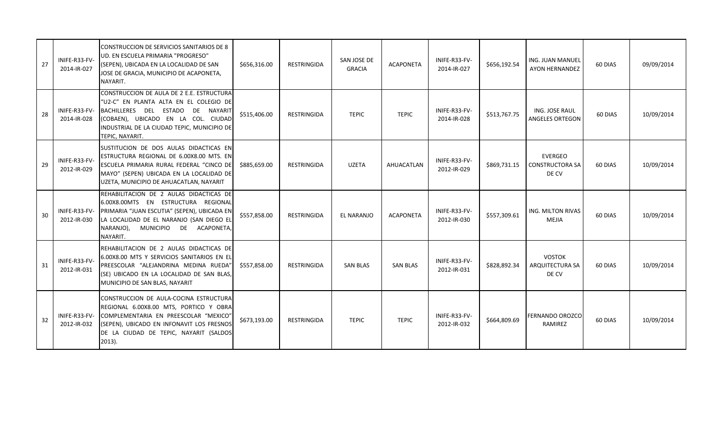| 27 | INIFE-R33-FV-<br>2014-IR-027 | <b>ICONSTRUCCION DE SERVICIOS SANITARIOS DE 8</b><br>UD. EN ESCUELA PRIMARIA "PROGRESO"<br>(SEPEN), UBICADA EN LA LOCALIDAD DE SAN<br>JOSE DE GRACIA, MUNICIPIO DE ACAPONETA,<br>NAYARIT.                                                | \$656,316.00 | RESTRINGIDA | SAN JOSE DE<br><b>GRACIA</b> | <b>ACAPONETA</b> | INIFE-R33-FV-<br>2014-IR-027 | \$656,192.54 | ING. JUAN MANUEL<br>AYON HERNANDEZ                | 60 DIAS | 09/09/2014 |
|----|------------------------------|------------------------------------------------------------------------------------------------------------------------------------------------------------------------------------------------------------------------------------------|--------------|-------------|------------------------------|------------------|------------------------------|--------------|---------------------------------------------------|---------|------------|
| 28 | INIFE-R33-FV-<br>2014-IR-028 | CONSTRUCCION DE AULA DE 2 E.E. ESTRUCTURAL<br>"U2-C" EN PLANTA ALTA EN EL COLEGIO DE<br>BACHILLERES DEL ESTADO DE NAYARIT<br>(COBAEN), UBICADO EN LA COL. CIUDAD<br>INDUSTRIAL DE LA CIUDAD TEPIC, MUNICIPIO DE<br>TEPIC, NAYARIT.       | \$515,406.00 | RESTRINGIDA | <b>TEPIC</b>                 | <b>TEPIC</b>     | INIFE-R33-FV-<br>2014-IR-028 | \$513,767.75 | ING. JOSE RAUL<br><b>ANGELES ORTEGON</b>          | 60 DIAS | 10/09/2014 |
| 29 | INIFE-R33-FV-<br>2012-IR-029 | SUSTITUCION DE DOS AULAS DIDACTICAS EN<br>ESTRUCTURA REGIONAL DE 6.00X8.00 MTS. EN<br>ESCUELA PRIMARIA RURAL FEDERAL "CINCO DE<br>MAYO" (SEPEN) UBICADA EN LA LOCALIDAD DE<br>UZETA, MUNICIPIO DE AHUACATLAN, NAYARIT                    | \$885,659.00 | RESTRINGIDA | <b>UZETA</b>                 | AHUACATLAN       | INIFE-R33-FV-<br>2012-IR-029 | \$869,731.15 | <b>EVERGEO</b><br><b>CONSTRUCTORA SA</b><br>DE CV | 60 DIAS | 10/09/2014 |
| 30 | 2012-IR-030                  | REHABILITACION DE 2 AULAS DIDACTICAS DE<br>6.00X8.00MTS EN ESTRUCTURA REGIONAL<br>INIFE-R33-FV- PRIMARIA "JUAN ESCUTIA" (SEPEN), UBICADA EN<br>LA LOCALIDAD DE EL NARANJO (SAN DIEGO EL<br>NARANJO), MUNICIPIO DE ACAPONETA,<br>NAYARIT. | \$557,858.00 | RESTRINGIDA | EL NARANJO                   | <b>ACAPONETA</b> | INIFE-R33-FV-<br>2012-IR-030 | \$557,309.61 | ING. MILTON RIVAS<br><b>MEJIA</b>                 | 60 DIAS | 10/09/2014 |
| 31 | INIFE-R33-FV-<br>2012-IR-031 | REHABILITACION DE 2 AULAS DIDACTICAS DE<br>6.00X8.00 MTS Y SERVICIOS SANITARIOS EN EL<br>PREESCOLAR "ALEJANDRINA MEDINA RUEDA"<br>(SE) UBICADO EN LA LOCALIDAD DE SAN BLAS,<br>MUNICIPIO DE SAN BLAS, NAYARIT                            | \$557,858.00 | RESTRINGIDA | <b>SAN BLAS</b>              | <b>SAN BLAS</b>  | INIFE-R33-FV-<br>2012-IR-031 | \$828,892.34 | <b>VOSTOK</b><br><b>ARQUITECTURA SA</b><br>DE CV  | 60 DIAS | 10/09/2014 |
| 32 | INIFE-R33-FV-<br>2012-IR-032 | CONSTRUCCION DE AULA-COCINA ESTRUCTURA<br>REGIONAL 6.00X8.00 MTS, PORTICO Y OBRA<br>COMPLEMENTARIA EN PREESCOLAR "MEXICO"<br>(SEPEN), UBICADO EN INFONAVIT LOS FRESNOS<br>DE LA CIUDAD DE TEPIC, NAYARIT (SALDOS<br>$2013$ ).            | \$673,193.00 | RESTRINGIDA | <b>TEPIC</b>                 | <b>TEPIC</b>     | INIFE-R33-FV-<br>2012-IR-032 | \$664,809.69 | FERNANDO OROZCO<br>RAMIREZ                        | 60 DIAS | 10/09/2014 |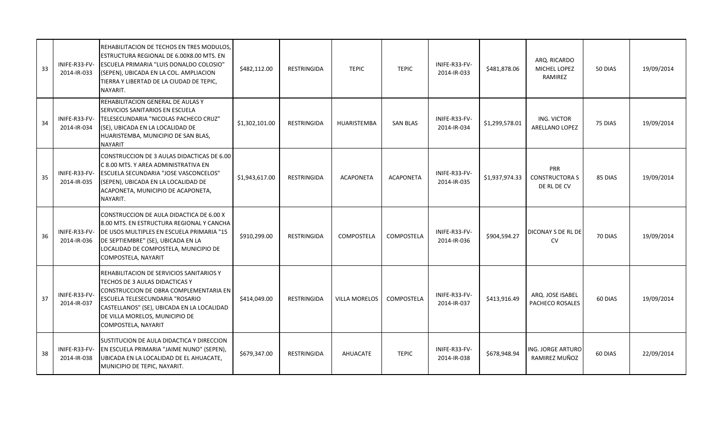| 33 | INIFE-R33-FV-<br>2014-IR-033 | REHABILITACION DE TECHOS EN TRES MODULOS,<br>ESTRUCTURA REGIONAL DE 6.00X8.00 MTS. EN<br>ESCUELA PRIMARIA "LUIS DONALDO COLOSIO"<br>(SEPEN), UBICADA EN LA COL. AMPLIACION<br>TIERRA Y LIBERTAD DE LA CIUDAD DE TEPIC,<br>NAYARIT.                             | \$482,112.00   | RESTRINGIDA        | <b>TEPIC</b>         | <b>TEPIC</b>      | INIFE-R33-FV-<br>2014-IR-033 | \$481,878.06   | ARQ. RICARDO<br>MICHEL LOPEZ<br>RAMIREZ     | 50 DIAS | 19/09/2014 |
|----|------------------------------|----------------------------------------------------------------------------------------------------------------------------------------------------------------------------------------------------------------------------------------------------------------|----------------|--------------------|----------------------|-------------------|------------------------------|----------------|---------------------------------------------|---------|------------|
| 34 | INIFE-R33-FV-<br>2014-IR-034 | REHABILITACION GENERAL DE AULAS Y<br>SERVICIOS SANITARIOS EN ESCUELA<br>TELESECUNDARIA "NICOLAS PACHECO CRUZ"<br>(SE), UBICADA EN LA LOCALIDAD DE<br>HUARISTEMBA, MUNICIPIO DE SAN BLAS,<br><b>NAYARIT</b>                                                     | \$1,302,101.00 | <b>RESTRINGIDA</b> | HUARISTEMBA          | <b>SAN BLAS</b>   | INIFE-R33-FV-<br>2014-IR-034 | \$1,299,578.01 | ING. VICTOR<br><b>ARELLANO LOPEZ</b>        | 75 DIAS | 19/09/2014 |
| 35 | INIFE-R33-FV-<br>2014-IR-035 | CONSTRUCCION DE 3 AULAS DIDACTICAS DE 6.00<br>C 8.00 MTS. Y AREA ADMINISTRATIVA EN<br><b>ESCUELA SECUNDARIA "JOSE VASCONCELOS"</b><br>(SEPEN), UBICADA EN LA LOCALIDAD DE<br>ACAPONETA, MUNICIPIO DE ACAPONETA,<br>NAYARIT.                                    | \$1,943,617.00 | RESTRINGIDA        | <b>ACAPONETA</b>     | <b>ACAPONETA</b>  | INIFE-R33-FV-<br>2014-IR-035 | \$1,937,974.33 | PRR<br><b>CONSTRUCTORA S</b><br>DE RL DE CV | 85 DIAS | 19/09/2014 |
| 36 | INIFE-R33-FV-<br>2014-IR-036 | CONSTRUCCION DE AULA DIDACTICA DE 6.00 X<br>8.00 MTS. EN ESTRUCTURA REGIONAL Y CANCHA<br>DE USOS MULTIPLES EN ESCUELA PRIMARIA "15<br>DE SEPTIEMBRE" (SE), UBICADA EN LA<br>LOCALIDAD DE COMPOSTELA, MUNICIPIO DE<br>COMPOSTELA, NAYARIT                       | \$910,299.00   | <b>RESTRINGIDA</b> | COMPOSTELA           | COMPOSTELA        | INIFE-R33-FV-<br>2014-IR-036 | \$904,594.27   | DICONAY S DE RL DE<br><b>CV</b>             | 70 DIAS | 19/09/2014 |
| 37 | INIFE-R33-FV-<br>2014-IR-037 | REHABILITACION DE SERVICIOS SANITARIOS Y<br>TECHOS DE 3 AULAS DIDACTICAS Y<br>CONSTRUCCION DE OBRA COMPLEMENTARIA EN<br>ESCUELA TELESECUNDARIA "ROSARIO<br>CASTELLANOS" (SE), UBICADA EN LA LOCALIDAD<br>DE VILLA MORELOS, MUNICIPIO DE<br>COMPOSTELA, NAYARIT | \$414,049.00   | RESTRINGIDA        | <b>VILLA MORELOS</b> | <b>COMPOSTELA</b> | INIFE-R33-FV-<br>2014-IR-037 | \$413,916.49   | ARQ. JOSE ISABEL<br>PACHECO ROSALES         | 60 DIAS | 19/09/2014 |
| 38 | INIFE-R33-FV-<br>2014-IR-038 | SUSTITUCION DE AULA DIDACTICA Y DIRECCION<br>EN ESCUELA PRIMARIA "JAIME NUNO" (SEPEN),<br>UBICADA EN LA LOCALIDAD DE EL AHUACATE,<br>MUNICIPIO DE TEPIC, NAYARIT.                                                                                              | \$679,347.00   | RESTRINGIDA        | <b>AHUACATE</b>      | <b>TEPIC</b>      | INIFE-R33-FV-<br>2014-IR-038 | \$678,948.94   | ING. JORGE ARTURO<br>RAMIREZ MUÑOZ          | 60 DIAS | 22/09/2014 |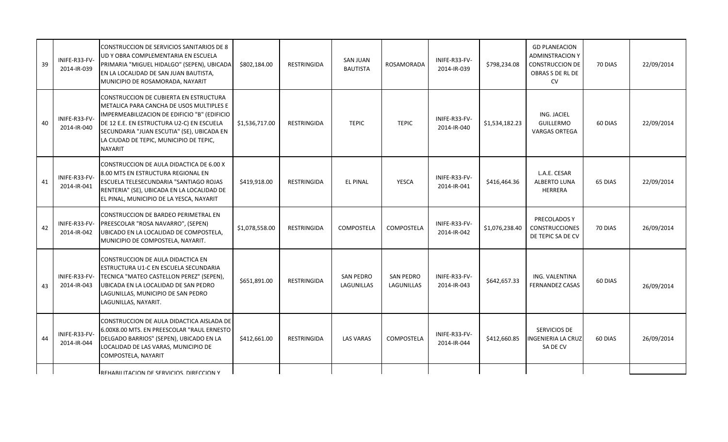| 39 | INIFE-R33-FV-<br>2014-IR-039 | CONSTRUCCION DE SERVICIOS SANITARIOS DE 8<br>UD Y OBRA COMPLEMENTARIA EN ESCUELA<br>PRIMARIA "MIGUEL HIDALGO" (SEPEN), UBICADA<br>EN LA LOCALIDAD DE SAN JUAN BAUTISTA,<br>MUNICIPIO DE ROSAMORADA, NAYARIT                                                                         | \$802,184.00   | <b>RESTRINGIDA</b> | <b>SAN JUAN</b><br><b>BAUTISTA</b> | ROSAMORADA                     | INIFE-R33-FV-<br>2014-IR-039 | \$798,234.08   | <b>GD PLANEACION</b><br>ADMINSTRACION Y<br><b>CONSTRUCCION DE</b><br>OBRAS S DE RL DE<br><b>CV</b> | 70 DIAS | 22/09/2014 |
|----|------------------------------|-------------------------------------------------------------------------------------------------------------------------------------------------------------------------------------------------------------------------------------------------------------------------------------|----------------|--------------------|------------------------------------|--------------------------------|------------------------------|----------------|----------------------------------------------------------------------------------------------------|---------|------------|
| 40 | INIFE-R33-FV-<br>2014-IR-040 | CONSTRUCCION DE CUBIERTA EN ESTRUCTURA<br>METALICA PARA CANCHA DE USOS MULTIPLES E<br>IMPERMEABILIZACION DE EDIFICIO "B" (EDIFICIO<br>DE 12 E.E. EN ESTRUCTURA U2-C) EN ESCUELA<br>SECUNDARIA "JUAN ESCUTIA" (SE), UBICADA EN<br>LA CIUDAD DE TEPIC, MUNICIPIO DE TEPIC,<br>NAYARIT | \$1,536,717.00 | <b>RESTRINGIDA</b> | <b>TEPIC</b>                       | <b>TEPIC</b>                   | INIFE-R33-FV-<br>2014-IR-040 | \$1,534,182.23 | ING. JACIEL<br><b>GUILLERMO</b><br><b>VARGAS ORTEGA</b>                                            | 60 DIAS | 22/09/2014 |
| 41 | INIFE-R33-FV-<br>2014-IR-041 | CONSTRUCCION DE AULA DIDACTICA DE 6.00 X<br>8.00 MTS EN ESTRUCTURA REGIONAL EN<br>ESCUELA TELESECUNDARIA "SANTIAGO ROJAS<br>RENTERIA" (SE), UBICADA EN LA LOCALIDAD DE<br>EL PINAL, MUNICIPIO DE LA YESCA, NAYARIT                                                                  | \$419,918.00   | <b>RESTRINGIDA</b> | <b>EL PINAL</b>                    | <b>YESCA</b>                   | INIFE-R33-FV-<br>2014-IR-041 | \$416,464.36   | L.A.E. CESAR<br><b>ALBERTO LUNA</b><br>HERRERA                                                     | 65 DIAS | 22/09/2014 |
| 42 | INIFE-R33-FV-<br>2014-IR-042 | CONSTRUCCION DE BARDEO PERIMETRAL EN<br>PREESCOLAR "ROSA NAVARRO", (SEPEN)<br>UBICADO EN LA LOCALIDAD DE COMPOSTELA,<br>MUNICIPIO DE COMPOSTELA, NAYARIT.                                                                                                                           | \$1,078,558.00 | <b>RESTRINGIDA</b> | COMPOSTELA                         | COMPOSTELA                     | INIFE-R33-FV-<br>2014-IR-042 | \$1,076,238.40 | PRECOLADOS Y<br><b>CONSTRUCCIONES</b><br>DE TEPIC SA DE CV                                         | 70 DIAS | 26/09/2014 |
| 43 | INIFE-R33-FV-<br>2014-IR-043 | CONSTRUCCION DE AULA DIDACTICA EN<br>ESTRUCTURA U1-C EN ESCUELA SECUNDARIA<br>TECNICA "MATEO CASTELLON PEREZ" (SEPEN),<br>UBICADA EN LA LOCALIDAD DE SAN PEDRO<br>LAGUNILLAS, MUNICIPIO DE SAN PEDRO<br>LAGUNILLAS, NAYARIT.                                                        | \$651,891.00   | <b>RESTRINGIDA</b> | <b>SAN PEDRO</b><br>LAGUNILLAS     | <b>SAN PEDRO</b><br>LAGUNILLAS | INIFE-R33-FV-<br>2014-IR-043 | \$642,657.33   | ING. VALENTINA<br><b>FERNANDEZ CASAS</b>                                                           | 60 DIAS | 26/09/2014 |
| 44 | INIFE-R33-FV-<br>2014-IR-044 | CONSTRUCCION DE AULA DIDACTICA AISLADA DE<br>6.00X8.00 MTS. EN PREESCOLAR "RAUL ERNESTO<br>DELGADO BARRIOS" (SEPEN), UBICADO EN LA<br>LOCALIDAD DE LAS VARAS, MUNICIPIO DE<br>COMPOSTELA, NAYARIT                                                                                   | \$412,661.00   | RESTRINGIDA        | <b>LAS VARAS</b>                   | COMPOSTELA                     | INIFE-R33-FV-<br>2014-IR-044 | \$412,660.85   | SERVICIOS DE<br><b>INGENIERIA LA CRUZ</b><br>SA DE CV                                              | 60 DIAS | 26/09/2014 |
|    |                              | REHARILITACION DE SERVICIOS DIRECCION Y                                                                                                                                                                                                                                             |                |                    |                                    |                                |                              |                |                                                                                                    |         |            |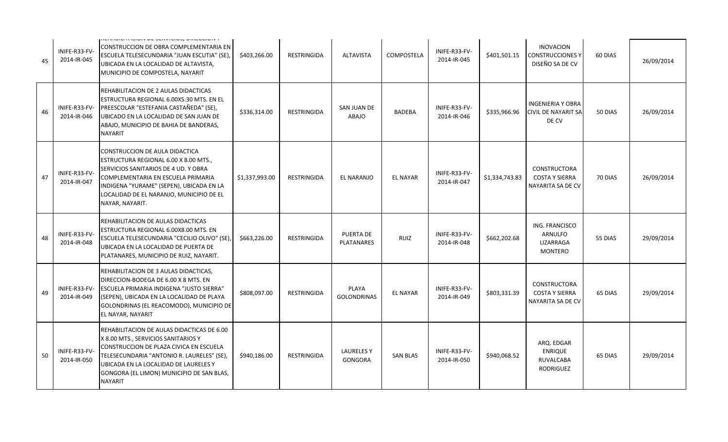| 45 | INIFE-R33-FV-<br>2014-IR-045 | וזכו וו וטובו ו ו וטוסו ז טב טבוז ז וטוסט, טווזכטטוסו ז<br>CONSTRUCCION DE OBRA COMPLEMENTARIA EN<br>ESCUELA TELESECUNDARIA "JUAN ESCUTIA" (SE),<br>UBICADA EN LA LOCALIDAD DE ALTAVISTA,<br>MUNICIPIO DE COMPOSTELA, NAYARIT                                               | \$403,266.00   | <b>RESTRINGIDA</b> | <b>ALTAVISTA</b>                   | <b>COMPOSTELA</b> | INIFE-R33-FV-<br>2014-IR-045 | \$401,501.15   | <b>INOVACION</b><br><b>CONSTRUCCIONES Y</b><br>DISEÑO SA DE CV       | 60 DIAS | 26/09/2014 |
|----|------------------------------|-----------------------------------------------------------------------------------------------------------------------------------------------------------------------------------------------------------------------------------------------------------------------------|----------------|--------------------|------------------------------------|-------------------|------------------------------|----------------|----------------------------------------------------------------------|---------|------------|
| 46 | INIFE-R33-FV-<br>2014-IR-046 | REHABILITACION DE 2 AULAS DIDACTICAS<br>ESTRUCTURA REGIONAL 6.00X5.30 MTS. EN EL<br>PREESCOLAR "ESTEFANIA CASTAÑEDA" (SE),<br>UBICADO EN LA LOCALIDAD DE SAN JUAN DE<br>ABAJO, MUNICIPIO DE BAHIA DE BANDERAS,<br><b>NAYARIT</b>                                            | \$336,314.00   | <b>RESTRINGIDA</b> | SAN JUAN DE<br>ABAJO               | <b>BADEBA</b>     | INIFE-R33-FV-<br>2014-IR-046 | \$335,966.96   | <b>INGENIERIA Y OBRA</b><br>CIVIL DE NAYARIT SA<br>DE CV             | 50 DIAS | 26/09/2014 |
| 47 | INIFE-R33-FV-<br>2014-IR-047 | CONSTRUCCION DE AULA DIDACTICA<br>ESTRUCTURA REGIONAL 6.00 X 8.00 MTS.,<br>SERVICIOS SANITARIOS DE 4 UD. Y OBRA<br>COMPLEMENTARIA EN ESCUELA PRIMARIA<br>INDIGENA "YURAME" (SEPEN), UBICADA EN LA<br>LOCALIDAD DE EL NARANJO, MUNICIPIO DE EL<br>NAYAR, NAYARIT.            | \$1,337,993.00 | <b>RESTRINGIDA</b> | EL NARANJO                         | <b>EL NAYAR</b>   | INIFE-R33-FV-<br>2014-IR-047 | \$1,334,743.83 | <b>CONSTRUCTORA</b><br><b>COSTA Y SIERRA</b><br>NAYARITA SA DE CV    | 70 DIAS | 26/09/2014 |
| 48 | INIFE-R33-FV-<br>2014-IR-048 | REHABILITACION DE AULAS DIDACTICAS<br>ESTRUCTURA REGIONAL 6.00X8.00 MTS. EN<br>ESCUELA TELESECUNDARIA "CECILIO OLIVO" (SE),<br>UBICADA EN LA LOCALIDAD DE PUERTA DE<br>PLATANARES, MUNICIPIO DE RUIZ, NAYARIT.                                                              | \$663,226.00   | <b>RESTRINGIDA</b> | <b>PUERTA DE</b><br>PLATANARES     | <b>RUIZ</b>       | INIFE-R33-FV-<br>2014-IR-048 | \$662,202.68   | ING. FRANCISCO<br><b>ARNULFO</b><br>LIZARRAGA<br><b>MONTERO</b>      | 55 DIAS | 29/09/2014 |
| 49 | INIFE-R33-FV-<br>2014-IR-049 | REHABILITACION DE 3 AULAS DIDACTICAS,<br>DIRECCION-BODEGA DE 6.00 X 8 MTS. EN<br>ESCUELA PRIMARIA INDIGENA "JUSTO SIERRA"<br>(SEPEN), UBICADA EN LA LOCALIDAD DE PLAYA<br>GOLONDRINAS (EL REACOMODO), MUNICIPIO DE<br>EL NAYAR, NAYARIT                                     | \$808,097.00   | <b>RESTRINGIDA</b> | <b>PLAYA</b><br><b>GOLONDRINAS</b> | <b>EL NAYAR</b>   | INIFE-R33-FV-<br>2014-IR-049 | \$803,331.39   | <b>CONSTRUCTORA</b><br><b>COSTA Y SIERRA</b><br>NAYARITA SA DE CV    | 65 DIAS | 29/09/2014 |
| 50 | INIFE-R33-FV-<br>2014-IR-050 | REHABILITACION DE AULAS DIDACTICAS DE 6.00<br>X 8.00 MTS., SERVICIOS SANITARIOS Y<br>CONSTRUCCION DE PLAZA CIVICA EN ESCUELA<br>TELESECUNDARIA "ANTONIO R. LAURELES" (SE),<br>UBICADA EN LA LOCALIDAD DE LAURELES Y<br>GONGORA (EL LIMON) MUNICIPIO DE SAN BLAS,<br>NAYARIT | \$940,186.00   | <b>RESTRINGIDA</b> | <b>LAURELESY</b><br><b>GONGORA</b> | <b>SAN BLAS</b>   | INIFE-R33-FV-<br>2014-IR-050 | \$940,068.52   | ARQ. EDGAR<br><b>ENRIQUE</b><br><b>RUVALCABA</b><br><b>RODRIGUEZ</b> | 65 DIAS | 29/09/2014 |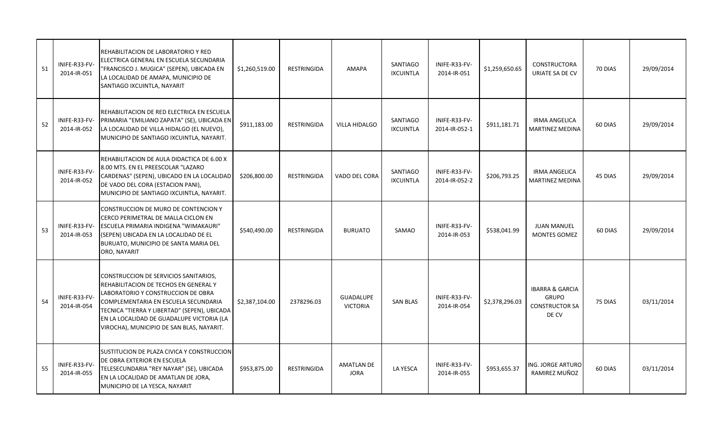| 51 | INIFE-R33-FV-<br>2014-IR-051 | REHABILITACION DE LABORATORIO Y RED<br>ELECTRICA GENERAL EN ESCUELA SECUNDARIA<br>"FRANCISCO J. MUGICA" (SEPEN), UBICADA EN<br>LA LOCALIDAD DE AMAPA, MUNICIPIO DE<br>SANTIAGO IXCUINTLA, NAYARIT                                                                                                      | \$1,260,519.00 | <b>RESTRINGIDA</b> | AMAPA                               | <b>SANTIAGO</b><br><b>IXCUINTLA</b> | INIFE-R33-FV-<br>2014-IR-051   | \$1,259,650.65 | <b>CONSTRUCTORA</b><br>URIATE SA DE CV                                       | 70 DIAS | 29/09/2014 |
|----|------------------------------|--------------------------------------------------------------------------------------------------------------------------------------------------------------------------------------------------------------------------------------------------------------------------------------------------------|----------------|--------------------|-------------------------------------|-------------------------------------|--------------------------------|----------------|------------------------------------------------------------------------------|---------|------------|
| 52 | INIFE-R33-FV-<br>2014-IR-052 | REHABILITACION DE RED ELECTRICA EN ESCUELA<br>PRIMARIA "EMILIANO ZAPATA" (SE), UBICADA EN<br>LA LOCALIDAD DE VILLA HIDALGO (EL NUEVO),<br>MUNICIPIO DE SANTIAGO IXCUINTLA, NAYARIT.                                                                                                                    | \$911,183.00   | <b>RESTRINGIDA</b> | <b>VILLA HIDALGO</b>                | <b>SANTIAGO</b><br><b>IXCUINTLA</b> | INIFE-R33-FV-<br>2014-IR-052-1 | \$911,181.71   | <b>IRMA ANGELICA</b><br><b>MARTINEZ MEDINA</b>                               | 60 DIAS | 29/09/2014 |
|    | INIFE-R33-FV-<br>2014-IR-052 | REHABILITACION DE AULA DIDACTICA DE 6.00 X<br>8.00 MTS. EN EL PREESCOLAR "LAZARO<br>CARDENAS" (SEPEN), UBICADO EN LA LOCALIDAD<br>DE VADO DEL CORA (ESTACION PANI),<br>MUNICIPIO DE SANTIAGO IXCUINTLA, NAYARIT.                                                                                       | \$206,800.00   | <b>RESTRINGIDA</b> | VADO DEL CORA                       | <b>SANTIAGO</b><br><b>IXCUINTLA</b> | INIFE-R33-FV-<br>2014-IR-052-2 | \$206,793.25   | <b>IRMA ANGELICA</b><br><b>MARTINEZ MEDINA</b>                               | 45 DIAS | 29/09/2014 |
| 53 | INIFE-R33-FV-<br>2014-IR-053 | CONSTRUCCION DE MURO DE CONTENCION Y<br>CERCO PERIMETRAL DE MALLA CICLON EN<br>ESCUELA PRIMARIA INDIGENA "WIMAKAURI"<br>(SEPEN) UBICADA EN LA LOCALIDAD DE EL<br>BURUATO, MUNICIPIO DE SANTA MARIA DEL<br>ORO, NAYARIT                                                                                 | \$540,490.00   | <b>RESTRINGIDA</b> | <b>BURUATO</b>                      | SAMAO                               | INIFE-R33-FV-<br>2014-IR-053   | \$538,041.99   | <b>JUAN MANUEL</b><br><b>MONTES GOMEZ</b>                                    | 60 DIAS | 29/09/2014 |
| 54 | INIFE-R33-FV-<br>2014-IR-054 | CONSTRUCCION DE SERVICIOS SANITARIOS,<br>REHABILITACION DE TECHOS EN GENERAL Y<br>LABORATORIO Y CONSTRUCCION DE OBRA<br>COMPLEMENTARIA EN ESCUELA SECUNDARIA<br>TECNICA "TIERRA Y LIBERTAD" (SEPEN), UBICADA<br>EN LA LOCALIDAD DE GUADALUPE VICTORIA (LA<br>VIROCHA), MUNICIPIO DE SAN BLAS, NAYARIT. | \$2,387,104.00 | 2378296.03         | <b>GUADALUPE</b><br><b>VICTORIA</b> | <b>SAN BLAS</b>                     | INIFE-R33-FV-<br>2014-IR-054   | \$2,378,296.03 | <b>IBARRA &amp; GARCIA</b><br><b>GRUPO</b><br><b>CONSTRUCTOR SA</b><br>DE CV | 75 DIAS | 03/11/2014 |
| 55 | INIFE-R33-FV-<br>2014-IR-055 | SUSTITUCION DE PLAZA CIVICA Y CONSTRUCCION<br>DE OBRA EXTERIOR EN ESCUELA<br>TELESECUNDARIA "REY NAYAR" (SE), UBICADA<br>EN LA LOCALIDAD DE AMATLAN DE JORA,<br>MUNICIPIO DE LA YESCA, NAYARIT                                                                                                         | \$953,875.00   | RESTRINGIDA        | <b>AMATLAN DE</b><br><b>JORA</b>    | LA YESCA                            | INIFE-R33-FV-<br>2014-IR-055   | \$953,655.37   | ING. JORGE ARTURO<br>RAMIREZ MUÑOZ                                           | 60 DIAS | 03/11/2014 |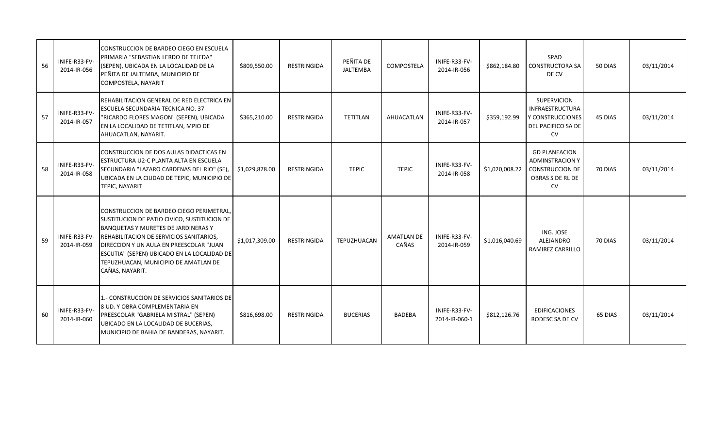| 56 | INIFE-R33-FV-<br>2014-IR-056 | CONSTRUCCION DE BARDEO CIEGO EN ESCUELA<br>PRIMARIA "SEBASTIAN LERDO DE TEJEDA"<br>(SEPEN), UBICADA EN LA LOCALIDAD DE LA<br>PEÑITA DE JALTEMBA, MUNICIPIO DE<br>COMPOSTELA, NAYARIT                                                                                                                                                  | \$809,550.00   | RESTRINGIDA | PEÑITA DE<br>JALTEMBA | COMPOSTELA                 | INIFE-R33-FV-<br>2014-IR-056   | \$862,184.80   | SPAD<br><b>CONSTRUCTORA SA</b><br>DE CV                                                                   | 50 DIAS | 03/11/2014 |
|----|------------------------------|---------------------------------------------------------------------------------------------------------------------------------------------------------------------------------------------------------------------------------------------------------------------------------------------------------------------------------------|----------------|-------------|-----------------------|----------------------------|--------------------------------|----------------|-----------------------------------------------------------------------------------------------------------|---------|------------|
| 57 | INIFE-R33-FV-<br>2014-IR-057 | REHABILITACION GENERAL DE RED ELECTRICA EN<br>ESCUELA SECUNDARIA TECNICA NO. 37<br>"RICARDO FLORES MAGON" (SEPEN), UBICADA<br>EN LA LOCALIDAD DE TETITLAN, MPIO DE<br>AHUACATLAN, NAYARIT.                                                                                                                                            | \$365,210.00   | RESTRINGIDA | TETITLAN              | AHUACATLAN                 | INIFE-R33-FV-<br>2014-IR-057   | \$359,192.99   | <b>SUPERVICION</b><br><b>INFRAESTRUCTURA</b><br>Y CONSTRUCCIONES<br>DEL PACIFICO SA DE<br><b>CV</b>       | 45 DIAS | 03/11/2014 |
| 58 | INIFE-R33-FV-<br>2014-IR-058 | CONSTRUCCION DE DOS AULAS DIDACTICAS EN<br>ESTRUCTURA U2-C PLANTA ALTA EN ESCUELA<br>SECUNDARIA "LAZARO CARDENAS DEL RIO" (SE)<br>UBICADA EN LA CIUDAD DE TEPIC, MUNICIPIO DE<br>TEPIC, NAYARIT                                                                                                                                       | \$1,029,878.00 | RESTRINGIDA | <b>TEPIC</b>          | <b>TEPIC</b>               | INIFE-R33-FV-<br>2014-IR-058   | \$1,020,008.22 | <b>GD PLANEACION</b><br><b>ADMINSTRACION Y</b><br><b>CONSTRUCCION DE</b><br>OBRAS S DE RL DE<br><b>CV</b> | 70 DIAS | 03/11/2014 |
| 59 | INIFE-R33-FV-<br>2014-IR-059 | CONSTRUCCION DE BARDEO CIEGO PERIMETRAL,<br>SUSTITUCION DE PATIO CIVICO, SUSTITUCION DE<br><b>BANQUETAS Y MURETES DE JARDINERAS Y</b><br>REHABILITACION DE SERVICIOS SANITARIOS,<br>DIRECCION Y UN AULA EN PREESCOLAR "JUAN<br>ESCUTIA" (SEPEN) UBICADO EN LA LOCALIDAD DE<br>TEPUZHUACAN, MUNICIPIO DE AMATLAN DE<br>CAÑAS, NAYARIT. | \$1,017,309.00 | RESTRINGIDA | <b>TEPUZHUACAN</b>    | <b>AMATLAN DE</b><br>CAÑAS | INIFE-R33-FV-<br>2014-IR-059   | \$1,016,040.69 | ING. JOSE<br>ALEJANDRO<br>RAMIREZ CARRILLO                                                                | 70 DIAS | 03/11/2014 |
| 60 | INIFE-R33-FV-<br>2014-IR-060 | 1.- CONSTRUCCION DE SERVICIOS SANITARIOS DE<br>8 UD. Y OBRA COMPLEMENTARIA EN<br>PREESCOLAR "GABRIELA MISTRAL" (SEPEN)<br>UBICADO EN LA LOCALIDAD DE BUCERIAS,<br>MUNICIPIO DE BAHIA DE BANDERAS, NAYARIT.                                                                                                                            | \$816,698.00   | RESTRINGIDA | <b>BUCERIAS</b>       | BADEBA                     | INIFE-R33-FV-<br>2014-IR-060-1 | \$812,126.76   | <b>EDIFICACIONES</b><br>RODESC SA DE CV                                                                   | 65 DIAS | 03/11/2014 |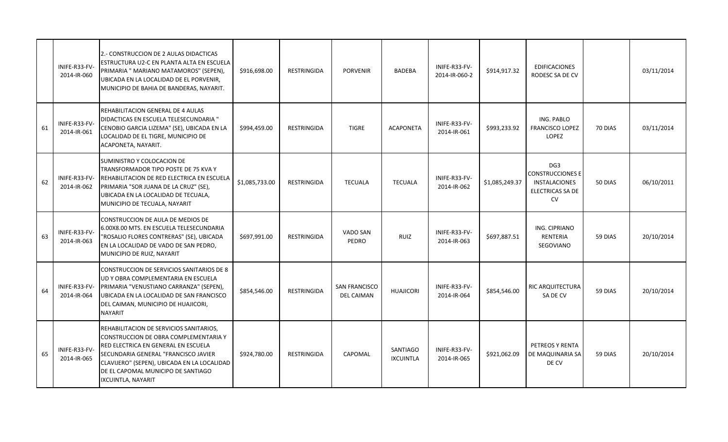|    | INIFE-R33-FV-<br>2014-IR-060 | 2.- CONSTRUCCION DE 2 AULAS DIDACTICAS<br>ESTRUCTURA U2-C EN PLANTA ALTA EN ESCUELA<br>PRIMARIA " MARIANO MATAMOROS" (SEPEN),<br>UBICADA EN LA LOCALIDAD DE EL PORVENIR,<br>MUNICIPIO DE BAHIA DE BANDERAS, NAYARIT.                                                       | \$916,698.00   | RESTRINGIDA        | <b>PORVENIR</b>                           | BADEBA                              | INIFE-R33-FV-<br>2014-IR-060-2 | \$914,917.32   | <b>EDIFICACIONES</b><br>RODESC SA DE CV                                                             |         | 03/11/2014 |
|----|------------------------------|----------------------------------------------------------------------------------------------------------------------------------------------------------------------------------------------------------------------------------------------------------------------------|----------------|--------------------|-------------------------------------------|-------------------------------------|--------------------------------|----------------|-----------------------------------------------------------------------------------------------------|---------|------------|
| 61 | INIFE-R33-FV-<br>2014-IR-061 | REHABILITACION GENERAL DE 4 AULAS<br>DIDACTICAS EN ESCUELA TELESECUNDARIA "<br>CENOBIO GARCIA LIZEMA" (SE), UBICADA EN LA<br>LOCALIDAD DE EL TIGRE, MUNICIPIO DE<br>ACAPONETA, NAYARIT.                                                                                    | \$994,459.00   | RESTRINGIDA        | <b>TIGRE</b>                              | <b>ACAPONETA</b>                    | INIFE-R33-FV-<br>2014-IR-061   | \$993,233.92   | ING. PABLO<br><b>FRANCISCO LOPEZ</b><br><b>LOPEZ</b>                                                | 70 DIAS | 03/11/2014 |
| 62 | INIFE-R33-FV-<br>2014-IR-062 | SUMINISTRO Y COLOCACION DE<br>TRANSFORMADOR TIPO POSTE DE 75 KVA Y<br>REHABILITACION DE RED ELECTRICA EN ESCUELA<br>PRIMARIA "SOR JUANA DE LA CRUZ" (SE),<br>UBICADA EN LA LOCALIDAD DE TECUALA,<br>MUNICIPIO DE TECUALA, NAYARIT                                          | \$1,085,733.00 | RESTRINGIDA        | <b>TECUALA</b>                            | <b>TECUALA</b>                      | INIFE-R33-FV-<br>2014-IR-062   | \$1,085,249.37 | DG <sub>3</sub><br>CONSTRUCCIONES E<br><b>INSTALACIONES</b><br><b>ELECTRICAS SA DE</b><br><b>CV</b> | 50 DIAS | 06/10/2011 |
| 63 | INIFE-R33-FV-<br>2014-IR-063 | CONSTRUCCION DE AULA DE MEDIOS DE<br>6.00X8.00 MTS. EN ESCUELA TELESECUNDARIA<br>"ROSALIO FLORES CONTRERAS" (SE), UBICADA<br>EN LA LOCALIDAD DE VADO DE SAN PEDRO,<br>MUNICIPIO DE RUIZ, NAYARIT                                                                           | \$697,991.00   | <b>RESTRINGIDA</b> | VADO SAN<br>PEDRO                         | <b>RUIZ</b>                         | INIFE-R33-FV-<br>2014-IR-063   | \$697,887.51   | ING. CIPRIANO<br>RENTERIA<br>SEGOVIANO                                                              | 59 DIAS | 20/10/2014 |
| 64 | INIFE-R33-FV-<br>2014-IR-064 | CONSTRUCCION DE SERVICIOS SANITARIOS DE 8<br>UD Y OBRA COMPLEMENTARIA EN ESCUELA<br>PRIMARIA "VENUSTIANO CARRANZA" (SEPEN),<br>UBICADA EN LA LOCALIDAD DE SAN FRANCISCO<br>DEL CAIMAN, MUNICIPIO DE HUAJICORI,<br><b>NAYARIT</b>                                           | \$854,546.00   | <b>RESTRINGIDA</b> | <b>SAN FRANCISCO</b><br><b>DEL CAIMAN</b> | <b>HUAJICORI</b>                    | INIFE-R33-FV-<br>2014-IR-064   | \$854,546.00   | RIC ARQUITECTURA<br>SA DE CV                                                                        | 59 DIAS | 20/10/2014 |
| 65 | INIFE-R33-FV-<br>2014-IR-065 | REHABILITACION DE SERVICIOS SANITARIOS,<br>CONSTRUCCION DE OBRA COMPLEMENTARIA Y<br>RED ELECTRICA EN GENERAL EN ESCUELA<br>SECUNDARIA GENERAL "FRANCISCO JAVIER<br>CLAVIJERO" (SEPEN), UBICADA EN LA LOCALIDAD<br>DE EL CAPOMAL MUNICIPO DE SANTIAGO<br>IXCUINTLA, NAYARIT | \$924,780.00   | RESTRINGIDA        | CAPOMAL                                   | <b>SANTIAGO</b><br><b>IXCUINTLA</b> | INIFE-R33-FV-<br>2014-IR-065   | \$921,062.09   | PETREOS Y RENTA<br>DE MAQUINARIA SA<br>DE CV                                                        | 59 DIAS | 20/10/2014 |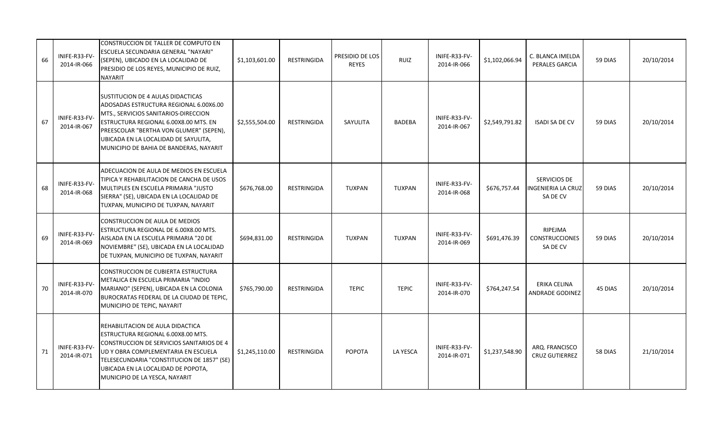| 66 | INIFE-R33-FV-<br>2014-IR-066 | CONSTRUCCION DE TALLER DE COMPUTO EN<br>ESCUELA SECUNDARIA GENERAL "NAYARI"<br>(SEPEN), UBICADO EN LA LOCALIDAD DE<br>PRESIDIO DE LOS REYES, MUNICIPIO DE RUIZ,<br><b>NAYARIT</b>                                                                                                          | \$1,103,601.00 | <b>RESTRINGIDA</b> | PRESIDIO DE LOS<br><b>REYES</b> | RUIZ          | INIFE-R33-FV-<br>2014-IR-066 | \$1,102,066.94 | C. BLANCA IMELDA<br>PERALES GARCIA                   | 59 DIAS | 20/10/2014 |
|----|------------------------------|--------------------------------------------------------------------------------------------------------------------------------------------------------------------------------------------------------------------------------------------------------------------------------------------|----------------|--------------------|---------------------------------|---------------|------------------------------|----------------|------------------------------------------------------|---------|------------|
| 67 | INIFE-R33-FV-<br>2014-IR-067 | SUSTITUCION DE 4 AULAS DIDACTICAS<br>ADOSADAS ESTRUCTURA REGIONAL 6.00X6.00<br>MTS., SERVICIOS SANITARIOS-DIRECCION<br>ESTRUCTURA REGIONAL 6.00X8.00 MTS. EN<br>PREESCOLAR "BERTHA VON GLUMER" (SEPEN),<br>UBICADA EN LA LOCALIDAD DE SAYULITA,<br>MUNICIPIO DE BAHIA DE BANDERAS, NAYARIT | \$2,555,504.00 | <b>RESTRINGIDA</b> | SAYULITA                        | <b>BADEBA</b> | INIFE-R33-FV-<br>2014-IR-067 | \$2,549,791.82 | <b>ISADI SA DE CV</b>                                | 59 DIAS | 20/10/2014 |
| 68 | INIFE-R33-FV-<br>2014-IR-068 | ADECUACION DE AULA DE MEDIOS EN ESCUELA<br>TIPICA Y REHABILITACION DE CANCHA DE USOS<br>MULTIPLES EN ESCUELA PRIMARIA "JUSTO<br>SIERRA" (SE), UBICADA EN LA LOCALIDAD DE<br>TUXPAN, MUNICIPIO DE TUXPAN, NAYARIT                                                                           | \$676,768.00   | RESTRINGIDA        | <b>TUXPAN</b>                   | <b>TUXPAN</b> | INIFE-R33-FV-<br>2014-IR-068 | \$676,757.44   | SERVICIOS DE<br><b>NGENIERIA LA CRUZ</b><br>SA DE CV | 59 DIAS | 20/10/2014 |
| 69 | INIFE-R33-FV-<br>2014-IR-069 | CONSTRUCCION DE AULA DE MEDIOS<br>ESTRUCTURA REGIONAL DE 6.00X8.00 MTS.<br>AISLADA EN LA ESCUELA PRIMARIA "20 DE<br>NOVIEMBRE" (SE), UBICADA EN LA LOCALIDAD<br>DE TUXPAN, MUNICIPIO DE TUXPAN, NAYARIT                                                                                    | \$694,831.00   | <b>RESTRINGIDA</b> | <b>TUXPAN</b>                   | <b>TUXPAN</b> | INIFE-R33-FV-<br>2014-IR-069 | \$691,476.39   | RIPEJMA<br><b>CONSTRUCCIONES</b><br>SA DE CV         | 59 DIAS | 20/10/2014 |
| 70 | INIFE-R33-FV-<br>2014-IR-070 | CONSTRUCCION DE CUBIERTA ESTRUCTURA<br>METALICA EN ESCUELA PRIMARIA "INDIO<br>MARIANO" (SEPEN), UBICADA EN LA COLONIA<br>BUROCRATAS FEDERAL DE LA CIUDAD DE TEPIC,<br>MUNICIPIO DE TEPIC, NAYARIT                                                                                          | \$765,790.00   | <b>RESTRINGIDA</b> | <b>TEPIC</b>                    | <b>TEPIC</b>  | INIFE-R33-FV-<br>2014-IR-070 | \$764,247.54   | ERIKA CELINA<br>ANDRADE GODINEZ                      | 45 DIAS | 20/10/2014 |
| 71 | INIFE-R33-FV-<br>2014-IR-071 | REHABILITACION DE AULA DIDACTICA<br>ESTRUCTURA REGIONAL 6.00X8.00 MTS.<br>CONSTRUCCION DE SERVICIOS SANITARIOS DE 4<br>UD Y OBRA COMPLEMENTARIA EN ESCUELA<br>TELESECUNDARIA "CONSTITUCION DE 1857" (SE)<br>UBICADA EN LA LOCALIDAD DE POPOTA,<br>MUNICIPIO DE LA YESCA, NAYARIT           | \$1,245,110.00 | <b>RESTRINGIDA</b> | <b>POPOTA</b>                   | LA YESCA      | INIFE-R33-FV-<br>2014-IR-071 | \$1,237,548.90 | ARQ. FRANCISCO<br><b>CRUZ GUTIERREZ</b>              | 58 DIAS | 21/10/2014 |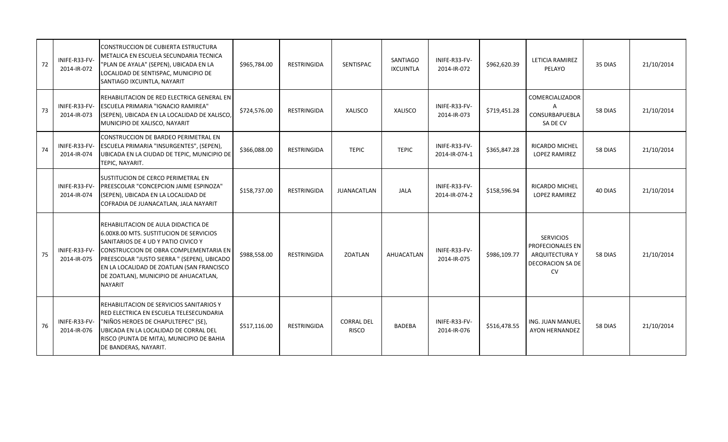| 72 | INIFE-R33-FV-<br>2014-IR-072 | CONSTRUCCION DE CUBIERTA ESTRUCTURA<br>METALICA EN ESCUELA SECUNDARIA TECNICA<br>"PLAN DE AYALA" (SEPEN), UBICADA EN LA<br>LOCALIDAD DE SENTISPAC, MUNICIPIO DE<br>SANTIAGO IXCUINTLA, NAYARIT                                                                                                                         | \$965,784.00 | RESTRINGIDA        | SENTISPAC                         | SANTIAGO<br><b>IXCUINTLA</b> | INIFE-R33-FV-<br>2014-IR-072   | \$962,620.39 | LETICIA RAMIREZ<br>PELAYO                                                                      | 35 DIAS | 21/10/2014 |
|----|------------------------------|------------------------------------------------------------------------------------------------------------------------------------------------------------------------------------------------------------------------------------------------------------------------------------------------------------------------|--------------|--------------------|-----------------------------------|------------------------------|--------------------------------|--------------|------------------------------------------------------------------------------------------------|---------|------------|
| 73 | INIFE-R33-FV-<br>2014-IR-073 | REHABILITACION DE RED ELECTRICA GENERAL EN<br><b>ESCUELA PRIMARIA "IGNACIO RAMIREA"</b><br>(SEPEN), UBICADA EN LA LOCALIDAD DE XALISCO,<br>MUNICIPIO DE XALISCO, NAYARIT                                                                                                                                               | \$724,576.00 | RESTRINGIDA        | XALISCO                           | XALISCO                      | INIFE-R33-FV-<br>2014-IR-073   | \$719,451.28 | <b>COMERCIALIZADOR</b><br>Α<br>CONSURBAPUEBLA<br>SA DE CV                                      | 58 DIAS | 21/10/2014 |
| 74 | INIFE-R33-FV-<br>2014-IR-074 | CONSTRUCCION DE BARDEO PERIMETRAL EN<br>ESCUELA PRIMARIA "INSURGENTES", (SEPEN),<br>UBICADA EN LA CIUDAD DE TEPIC, MUNICIPIO DE<br>TEPIC, NAYARIT.                                                                                                                                                                     | \$366,088.00 | RESTRINGIDA        | <b>TEPIC</b>                      | <b>TEPIC</b>                 | INIFE-R33-FV-<br>2014-IR-074-1 | \$365,847.28 | RICARDO MICHEL<br><b>LOPEZ RAMIREZ</b>                                                         | 58 DIAS | 21/10/2014 |
|    | INIFE-R33-FV-<br>2014-IR-074 | SUSTITUCION DE CERCO PERIMETRAL EN<br>PREESCOLAR "CONCEPCION JAIME ESPINOZA"<br>(SEPEN), UBICADA EN LA LOCALIDAD DE<br>COFRADIA DE JUANACATLAN, JALA NAYARIT                                                                                                                                                           | \$158,737.00 | RESTRINGIDA        | <b>JUANACATLAN</b>                | <b>JALA</b>                  | INIFE-R33-FV-<br>2014-IR-074-2 | \$158,596.94 | RICARDO MICHEL<br><b>LOPEZ RAMIREZ</b>                                                         | 40 DIAS | 21/10/2014 |
| 75 | INIFE-R33-FV-<br>2014-IR-075 | REHABILITACION DE AULA DIDACTICA DE<br>6.00X8.00 MTS. SUSTITUCION DE SERVICIOS<br>SANITARIOS DE 4 UD Y PATIO CIVICO Y<br>CONSTRUCCION DE OBRA COMPLEMENTARIA EN<br>PREESCOLAR "JUSTO SIERRA " (SEPEN), UBICADO<br>EN LA LOCALIDAD DE ZOATLAN (SAN FRANCISCO<br>DE ZOATLAN), MUNICIPIO DE AHUACATLAN,<br><b>NAYARIT</b> | \$988,558.00 | <b>RESTRINGIDA</b> | <b>ZOATLAN</b>                    | AHUACATLAN                   | INIFE-R33-FV-<br>2014-IR-075   | \$986,109.77 | <b>SERVICIOS</b><br>PROFECIONALES EN<br><b>ARQUITECTURA Y</b><br>DECORACION SA DE<br><b>CV</b> | 58 DIAS | 21/10/2014 |
| 76 | INIFE-R33-FV-<br>2014-IR-076 | REHABILITACION DE SERVICIOS SANITARIOS Y<br>RED ELECTRICA EN ESCUELA TELESECUNDARIA<br>"NIÑOS HEROES DE CHAPULTEPEC" (SE),<br>UBICADA EN LA LOCALIDAD DE CORRAL DEL<br>RISCO (PUNTA DE MITA), MUNICIPIO DE BAHIA<br>DE BANDERAS, NAYARIT.                                                                              | \$517,116.00 | RESTRINGIDA        | <b>CORRAL DEL</b><br><b>RISCO</b> | <b>BADEBA</b>                | INIFE-R33-FV-<br>2014-IR-076   | \$516,478.55 | ING. JUAN MANUEL<br>AYON HERNANDEZ                                                             | 58 DIAS | 21/10/2014 |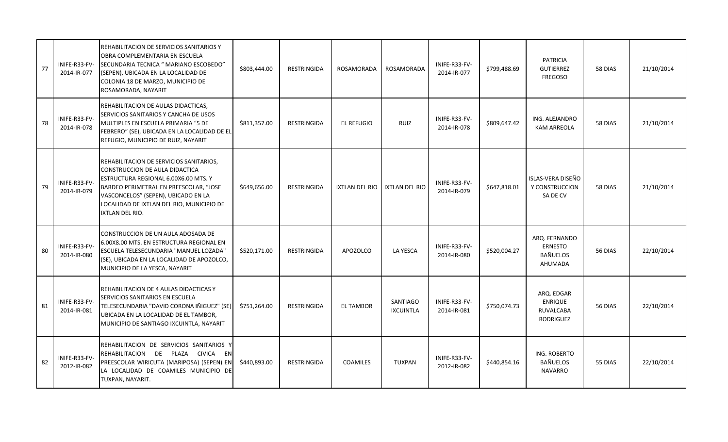| 77 | INIFE-R33-FV-<br>2014-IR-077 | REHABILITACION DE SERVICIOS SANITARIOS Y<br>OBRA COMPLEMENTARIA EN ESCUELA<br>SECUNDARIA TECNICA " MARIANO ESCOBEDO"<br>(SEPEN), UBICADA EN LA LOCALIDAD DE<br>COLONIA 18 DE MARZO, MUNICIPIO DE<br>ROSAMORADA, NAYARIT                                            | \$803,444.00 | RESTRINGIDA        | ROSAMORADA      | <b>ROSAMORADA</b>                   | INIFE-R33-FV-<br>2014-IR-077 | \$799,488.69 | <b>PATRICIA</b><br><b>GUTIERREZ</b><br><b>FREGOSO</b>         | 58 DIAS | 21/10/2014 |
|----|------------------------------|--------------------------------------------------------------------------------------------------------------------------------------------------------------------------------------------------------------------------------------------------------------------|--------------|--------------------|-----------------|-------------------------------------|------------------------------|--------------|---------------------------------------------------------------|---------|------------|
| 78 | INIFE-R33-FV-<br>2014-IR-078 | REHABILITACION DE AULAS DIDACTICAS,<br>SERVICIOS SANITARIOS Y CANCHA DE USOS<br>MULTIPLES EN ESCUELA PRIMARIA "5 DE<br>FEBRERO" (SE), UBICADA EN LA LOCALIDAD DE EL<br>REFUGIO, MUNICIPIO DE RUIZ, NAYARIT                                                         | \$811,357.00 | RESTRINGIDA        | EL REFUGIO      | <b>RUIZ</b>                         | INIFE-R33-FV-<br>2014-IR-078 | \$809,647.42 | ING. ALEJANDRO<br><b>KAM ARREOLA</b>                          | 58 DIAS | 21/10/2014 |
| 79 | INIFE-R33-FV-<br>2014-IR-079 | REHABILITACION DE SERVICIOS SANITARIOS,<br>CONSTRUCCION DE AULA DIDACTICA<br>ESTRUCTURA REGIONAL 6.00X6.00 MTS. Y<br>BARDEO PERIMETRAL EN PREESCOLAR, "JOSE<br>VASCONCELOS" (SEPEN), UBICADO EN LA<br>LOCALIDAD DE IXTLAN DEL RIO, MUNICIPIO DE<br>IXTLAN DEL RIO. | \$649,656.00 | <b>RESTRINGIDA</b> | IXTLAN DEL RIO  | <b>IXTLAN DEL RIO</b>               | INIFE-R33-FV-<br>2014-IR-079 | \$647,818.01 | ISLAS-VERA DISEÑO<br>Y CONSTRUCCION<br>SA DE CV               | 58 DIAS | 21/10/2014 |
| 80 | INIFE-R33-FV-<br>2014-IR-080 | CONSTRUCCION DE UN AULA ADOSADA DE<br>6.00X8.00 MTS. EN ESTRUCTURA REGIONAL EN<br>ESCUELA TELESECUNDARIA "MANUEL LOZADA"<br>(SE), UBICADA EN LA LOCALIDAD DE APOZOLCO,<br>MUNICIPIO DE LA YESCA, NAYARIT                                                           | \$520,171.00 | <b>RESTRINGIDA</b> | APOZOLCO        | LA YESCA                            | INIFE-R33-FV-<br>2014-IR-080 | \$520,004.27 | ARQ. FERNANDO<br><b>ERNESTO</b><br><b>BAÑUELOS</b><br>AHUMADA | 56 DIAS | 22/10/2014 |
| 81 | INIFE-R33-FV-<br>2014-IR-081 | REHABILITACION DE 4 AULAS DIDACTICAS Y<br>SERVICIOS SANITARIOS EN ESCUELA<br>TELESECUNDARIA "DAVID CORONA IÑIGUEZ" (SE)<br>UBICADA EN LA LOCALIDAD DE EL TAMBOR,<br>MUNICIPIO DE SANTIAGO IXCUINTLA, NAYARIT                                                       | \$751,264.00 | RESTRINGIDA        | EL TAMBOR       | <b>SANTIAGO</b><br><b>IXCUINTLA</b> | INIFE-R33-FV-<br>2014-IR-081 | \$750,074.73 | ARQ. EDGAR<br><b>ENRIQUE</b><br>RUVALCABA<br>RODRIGUEZ        | 56 DIAS | 22/10/2014 |
| 82 | INIFE-R33-FV-<br>2012-IR-082 | REHABILITACION DE SERVICIOS SANITARIOS Y<br>REHABILITACION DE PLAZA CIVICA EN<br>PREESCOLAR WIRICUTA (MARIPOSA) (SEPEN) EN<br>LA LOCALIDAD DE COAMILES MUNICIPIO DE<br>TUXPAN, NAYARIT.                                                                            | \$440,893.00 | RESTRINGIDA        | <b>COAMILES</b> | <b>TUXPAN</b>                       | INIFE-R33-FV-<br>2012-IR-082 | \$440,854.16 | ING. ROBERTO<br>BAÑUELOS<br><b>NAVARRO</b>                    | 55 DIAS | 22/10/2014 |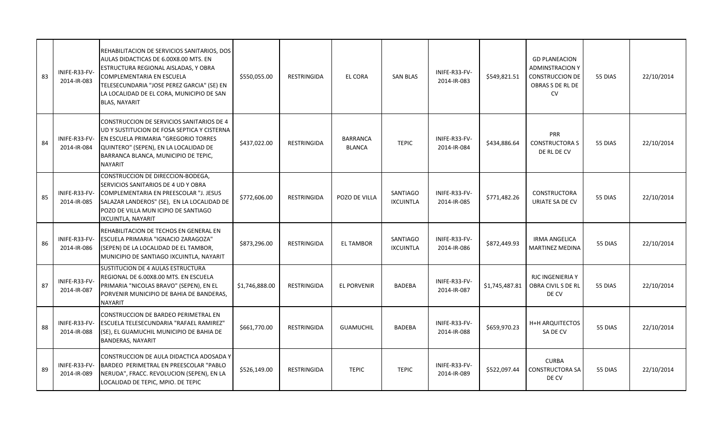| 83 | INIFE-R33-FV-<br>2014-IR-083 | REHABILITACION DE SERVICIOS SANITARIOS, DOS<br>AULAS DIDACTICAS DE 6.00X8.00 MTS. EN<br>ESTRUCTURA REGIONAL AISLADAS, Y OBRA<br>COMPLEMENTARIA EN ESCUELA<br>TELESECUNDARIA "JOSE PEREZ GARCIA" (SE) EN<br>LA LOCALIDAD DE EL CORA, MUNICIPIO DE SAN<br><b>BLAS, NAYARIT</b> | \$550,055.00   | RESTRINGIDA        | EL CORA                          | <b>SAN BLAS</b>              | INIFE-R33-FV-<br>2014-IR-083 | \$549,821.51   | <b>GD PLANEACION</b><br><b>ADMINSTRACION Y</b><br><b>CONSTRUCCION DE</b><br>OBRAS S DE RL DE<br><b>CV</b> | 55 DIAS | 22/10/2014 |
|----|------------------------------|------------------------------------------------------------------------------------------------------------------------------------------------------------------------------------------------------------------------------------------------------------------------------|----------------|--------------------|----------------------------------|------------------------------|------------------------------|----------------|-----------------------------------------------------------------------------------------------------------|---------|------------|
| 84 | INIFE-R33-FV-<br>2014-IR-084 | CONSTRUCCION DE SERVICIOS SANITARIOS DE 4<br>UD Y SUSTITUCION DE FOSA SEPTICA Y CISTERNA<br><b>EN ESCUELA PRIMARIA "GREGORIO TORRES"</b><br>QUINTERO" (SEPEN), EN LA LOCALIDAD DE<br>BARRANCA BLANCA, MUNICIPIO DE TEPIC,<br><b>NAYARIT</b>                                  | \$437,022.00   | <b>RESTRINGIDA</b> | <b>BARRANCA</b><br><b>BLANCA</b> | <b>TEPIC</b>                 | INIFE-R33-FV-<br>2014-IR-084 | \$434,886.64   | <b>PRR</b><br><b>CONSTRUCTORA S</b><br>DE RL DE CV                                                        | 55 DIAS | 22/10/2014 |
| 85 | INIFE-R33-FV-<br>2014-IR-085 | CONSTRUCCION DE DIRECCION-BODEGA,<br>SERVICIOS SANITARIOS DE 4 UD Y OBRA<br>COMPLEMENTARIA EN PREESCOLAR "J. JESUS<br>SALAZAR LANDEROS" (SE), EN LA LOCALIDAD DE<br>POZO DE VILLA MUN ICIPIO DE SANTIAGO<br>IXCUINTLA, NAYARIT                                               | \$772,606.00   | RESTRINGIDA        | POZO DE VILLA                    | SANTIAGO<br><b>IXCUINTLA</b> | INIFE-R33-FV-<br>2014-IR-085 | \$771,482.26   | <b>CONSTRUCTORA</b><br>URIATE SA DE CV                                                                    | 55 DIAS | 22/10/2014 |
| 86 | INIFE-R33-FV-<br>2014-IR-086 | REHABILITACION DE TECHOS EN GENERAL EN<br><b>ESCUELA PRIMARIA "IGNACIO ZARAGOZA"</b><br>(SEPEN) DE LA LOCALIDAD DE EL TAMBOR,<br>MUNICIPIO DE SANTIAGO IXCUINTLA, NAYARIT                                                                                                    | \$873,296.00   | RESTRINGIDA        | <b>EL TAMBOR</b>                 | SANTIAGO<br><b>IXCUINTLA</b> | INIFE-R33-FV-<br>2014-IR-086 | \$872,449.93   | IRMA ANGELICA<br><b>MARTINEZ MEDINA</b>                                                                   | 55 DIAS | 22/10/2014 |
| 87 | INIFE-R33-FV-<br>2014-IR-087 | SUSTITUCION DE 4 AULAS ESTRUCTURA<br>REGIONAL DE 6.00X8.00 MTS. EN ESCUELA<br>PRIMARIA "NICOLAS BRAVO" (SEPEN), EN EL<br>PORVENIR MUNICIPIO DE BAHIA DE BANDERAS,<br><b>NAYARIT</b>                                                                                          | \$1,746,888.00 | RESTRINGIDA        | <b>EL PORVENIR</b>               | <b>BADEBA</b>                | INIFE-R33-FV-<br>2014-IR-087 | \$1,745,487.81 | <b>RJC INGENIERIA Y</b><br>OBRA CIVIL S DE RL<br>DE CV                                                    | 55 DIAS | 22/10/2014 |
| 88 | INIFE-R33-FV-<br>2014-IR-088 | <b>CONSTRUCCION DE BARDEO PERIMETRAL EN</b><br>ESCUELA TELESECUNDARIA "RAFAEL RAMIREZ"<br>(SE), EL GUAMUCHIL MUNICIPIO DE BAHIA DE<br><b>BANDERAS, NAYARIT</b>                                                                                                               | \$661,770.00   | <b>RESTRINGIDA</b> | <b>GUAMUCHIL</b>                 | BADEBA                       | INIFE-R33-FV-<br>2014-IR-088 | \$659,970.23   | <b>H+H ARQUITECTOS</b><br>SA DE CV                                                                        | 55 DIAS | 22/10/2014 |
| 89 | INIFE-R33-FV-<br>2014-IR-089 | CONSTRUCCION DE AULA DIDACTICA ADOSADA Y<br>BARDEO PERIMETRAL EN PREESCOLAR "PABLO<br>NERUDA", FRACC. REVOLUCION (SEPEN), EN LA<br>LOCALIDAD DE TEPIC, MPIO. DE TEPIC                                                                                                        | \$526,149.00   | RESTRINGIDA        | <b>TEPIC</b>                     | <b>TEPIC</b>                 | INIFE-R33-FV-<br>2014-IR-089 | \$522,097.44   | <b>CURBA</b><br><b>CONSTRUCTORA SA</b><br>DE CV                                                           | 55 DIAS | 22/10/2014 |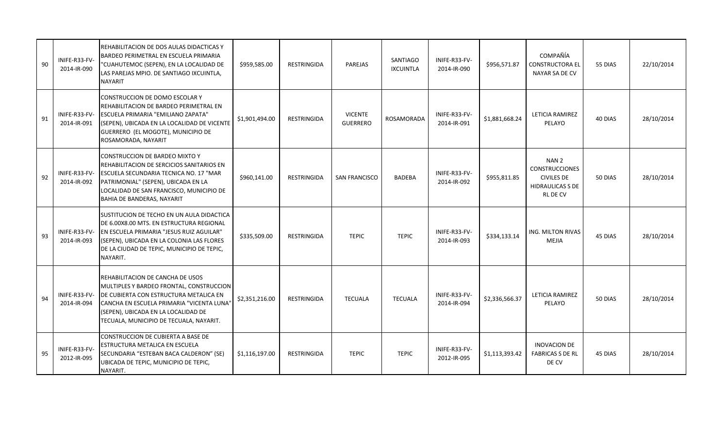| 90 | INIFE-R33-FV-<br>2014-IR-090 | REHABILITACION DE DOS AULAS DIDACTICAS Y<br>BARDEO PERIMETRAL EN ESCUELA PRIMARIA<br>"CUAHUTEMOC (SEPEN), EN LA LOCALIDAD DE<br>LAS PAREJAS MPIO. DE SANTIAGO IXCUINTLA,<br><b>NAYARIT</b>                                                            | \$959,585.00   | <b>RESTRINGIDA</b> | PAREJAS                           | <b>SANTIAGO</b><br><b>IXCUINTLA</b> | INIFE-R33-FV-<br>2014-IR-090 | \$956,571.87   | COMPAÑÍA<br><b>CONSTRUCTORA EL</b><br>NAYAR SA DE CV                                                         | 55 DIAS | 22/10/2014 |
|----|------------------------------|-------------------------------------------------------------------------------------------------------------------------------------------------------------------------------------------------------------------------------------------------------|----------------|--------------------|-----------------------------------|-------------------------------------|------------------------------|----------------|--------------------------------------------------------------------------------------------------------------|---------|------------|
| 91 | INIFE-R33-FV-<br>2014-IR-091 | CONSTRUCCION DE DOMO ESCOLAR Y<br>REHABILITACION DE BARDEO PERIMETRAL EN<br>ESCUELA PRIMARIA "EMILIANO ZAPATA"<br>(SEPEN), UBICADA EN LA LOCALIDAD DE VICENTE<br>GUERRERO (EL MOGOTE), MUNICIPIO DE<br>ROSAMORADA, NAYARIT                            | \$1,901,494.00 | <b>RESTRINGIDA</b> | <b>VICENTE</b><br><b>GUERRERO</b> | ROSAMORADA                          | INIFE-R33-FV-<br>2014-IR-091 | \$1,881,668.24 | LETICIA RAMIREZ<br>PELAYO                                                                                    | 40 DIAS | 28/10/2014 |
| 92 | INIFE-R33-FV-<br>2014-IR-092 | CONSTRUCCION DE BARDEO MIXTO Y<br>REHABILITACION DE SERCICIOS SANITARIOS EN<br>ESCUELA SECUNDARIA TECNICA NO. 17 "MAR<br>PATRIMONIAL" (SEPEN), UBICADA EN LA<br>LOCALIDAD DE SAN FRANCISCO, MUNICIPIO DE<br>BAHIA DE BANDERAS, NAYARIT                | \$960,141.00   | RESTRINGIDA        | <b>SAN FRANCISCO</b>              | <b>BADEBA</b>                       | INIFE-R33-FV-<br>2014-IR-092 | \$955,811.85   | NAN <sub>2</sub><br><b>CONSTRUCCIONES</b><br><b>CIVILES DE</b><br><b>HIDRAULICAS S DE</b><br><b>RL DE CV</b> | 50 DIAS | 28/10/2014 |
| 93 | INIFE-R33-FV-<br>2014-IR-093 | SUSTITUCION DE TECHO EN UN AULA DIDACTICA<br>DE 6.00X8.00 MTS. EN ESTRUCTURA REGIONAL<br>EN ESCUELA PRIMARIA "JESUS RUIZ AGUILAR"<br>(SEPEN), UBICADA EN LA COLONIA LAS FLORES<br>DE LA CIUDAD DE TEPIC, MUNICIPIO DE TEPIC,<br>NAYARIT.              | \$335,509.00   | <b>RESTRINGIDA</b> | <b>TEPIC</b>                      | <b>TEPIC</b>                        | INIFE-R33-FV-<br>2014-IR-093 | \$334,133.14   | ING. MILTON RIVAS<br><b>MEJIA</b>                                                                            | 45 DIAS | 28/10/2014 |
| 94 | INIFE-R33-FV-<br>2014-IR-094 | REHABILITACION DE CANCHA DE USOS<br>MULTIPLES Y BARDEO FRONTAL, CONSTRUCCION<br>DE CUBIERTA CON ESTRUCTURA METALICA EN<br>CANCHA EN ESCUELA PRIMARIA "VICENTA LUNA"<br>(SEPEN), UBICADA EN LA LOCALIDAD DE<br>TECUALA, MUNICIPIO DE TECUALA, NAYARIT. | \$2,351,216.00 | <b>RESTRINGIDA</b> | <b>TECUALA</b>                    | <b>TECUALA</b>                      | INIFE-R33-FV-<br>2014-IR-094 | \$2,336,566.37 | <b>LETICIA RAMIREZ</b><br>PELAYO                                                                             | 50 DIAS | 28/10/2014 |
| 95 | INIFE-R33-FV-<br>2012-IR-095 | CONSTRUCCION DE CUBIERTA A BASE DE<br>ESTRUCTURA METALICA EN ESCUELA<br>SECUNDARIA "ESTEBAN BACA CALDERON" (SE)<br>UBICADA DE TEPIC, MUNICIPIO DE TEPIC,<br>NAYARIT.                                                                                  | \$1,116,197.00 | RESTRINGIDA        | <b>TEPIC</b>                      | <b>TEPIC</b>                        | INIFE-R33-FV-<br>2012-IR-095 | \$1,113,393.42 | <b>INOVACION DE</b><br><b>FABRICAS S DE RL</b><br>DE CV                                                      | 45 DIAS | 28/10/2014 |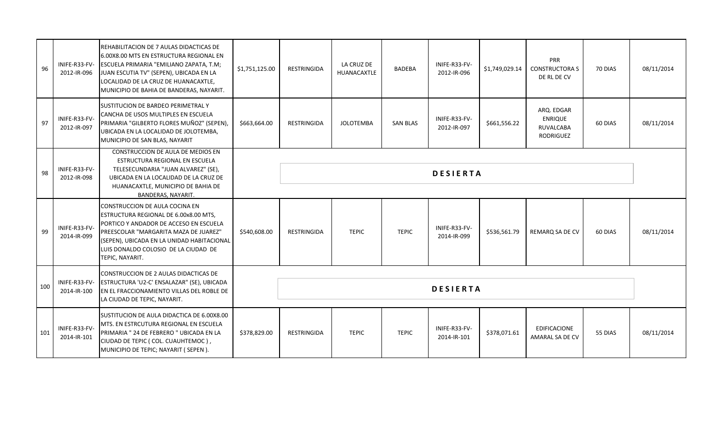| 96  | INIFE-R33-FV-<br>2012-IR-096 | REHABILITACION DE 7 AULAS DIDACTICAS DE<br>6.00X8.00 MTS EN ESTRUCTURA REGIONAL EN<br>ESCUELA PRIMARIA "EMILIANO ZAPATA, T.M;<br>JUAN ESCUTIA TV" (SEPEN), UBICADA EN LA<br>LOCALIDAD DE LA CRUZ DE HUANACAXTLE,<br>MUNICIPIO DE BAHIA DE BANDERAS, NAYARIT.               | \$1,751,125.00 | RESTRINGIDA | LA CRUZ DE<br>HUANACAXTLE | <b>BADEBA</b>   | INIFE-R33-FV-<br>2012-IR-096 | \$1,749,029.14 | PRR<br><b>CONSTRUCTORA S</b><br>DE RL DE CV            | 70 DIAS | 08/11/2014 |
|-----|------------------------------|----------------------------------------------------------------------------------------------------------------------------------------------------------------------------------------------------------------------------------------------------------------------------|----------------|-------------|---------------------------|-----------------|------------------------------|----------------|--------------------------------------------------------|---------|------------|
| 97  | INIFE-R33-FV-<br>2012-IR-097 | SUSTITUCION DE BARDEO PERIMETRAL Y<br>CANCHA DE USOS MULTIPLES EN ESCUELA<br>PRIMARIA "GILBERTO FLORES MUÑOZ" (SEPEN),<br>UBICADA EN LA LOCALIDAD DE JOLOTEMBA,<br>MUNICIPIO DE SAN BLAS, NAYARIT                                                                          | \$663,664.00   | RESTRINGIDA | <b>JOLOTEMBA</b>          | <b>SAN BLAS</b> | INIFE-R33-FV-<br>2012-IR-097 | \$661,556.22   | ARQ. EDGAR<br><b>ENRIQUE</b><br>RUVALCABA<br>RODRIGUEZ | 60 DIAS | 08/11/2014 |
| 98  | INIFE-R33-FV-<br>2012-IR-098 | CONSTRUCCION DE AULA DE MEDIOS EN<br>ESTRUCTURA REGIONAL EN ESCUELA<br>TELESECUNDARIA "JUAN ALVAREZ" (SE),<br>UBICADA EN LA LOCALIDAD DE LA CRUZ DE<br>HUANACAXTLE, MUNICIPIO DE BAHIA DE<br>BANDERAS, NAYARIT.                                                            |                |             |                           |                 | <b>DESIERTA</b>              |                |                                                        |         |            |
| 99  | INIFE-R33-FV-<br>2014-IR-099 | <b>CONSTRUCCION DE AULA COCINA EN</b><br>ESTRUCTURA REGIONAL DE 6.00x8.00 MTS,<br>PORTICO Y ANDADOR DE ACCESO EN ESCUELA<br>PREESCOLAR "MARGARITA MAZA DE JUAREZ"<br>(SEPEN), UBICADA EN LA UNIDAD HABITACIONAL<br>LUIS DONALDO COLOSIO DE LA CIUDAD DE<br>TEPIC, NAYARIT. | \$540,608.00   | RESTRINGIDA | <b>TEPIC</b>              | <b>TEPIC</b>    | INIFE-R33-FV-<br>2014-IR-099 | \$536,561.79   | REMARQ SA DE CV                                        | 60 DIAS | 08/11/2014 |
| 100 | INIFE-R33-FV-<br>2014-IR-100 | CONSTRUCCION DE 2 AULAS DIDACTICAS DE<br>ESTRUCTURA 'U2-C' ENSALAZAR" (SE), UBICADA<br>EN EL FRACCIONAMIENTO VILLAS DEL ROBLE DE<br>LA CIUDAD DE TEPIC, NAYARIT.                                                                                                           |                |             |                           |                 | <b>DESIERTA</b>              |                |                                                        |         |            |
| 101 | INIFE-R33-FV-<br>2014-IR-101 | SUSTITUCION DE AULA DIDACTICA DE 6.00X8.00<br>MTS. EN ESTRCUTURA REGIONAL EN ESCUELA<br>PRIMARIA " 24 DE FEBRERO " UBICADA EN LA<br>CIUDAD DE TEPIC (COL. CUAUHTEMOC),<br>MUNICIPIO DE TEPIC; NAYARIT (SEPEN).                                                             | \$378,829.00   | RESTRINGIDA | <b>TEPIC</b>              | <b>TEPIC</b>    | INIFE-R33-FV-<br>2014-IR-101 | \$378,071.61   | EDIFICACIONE<br><b>AMARAL SA DE CV</b>                 | 55 DIAS | 08/11/2014 |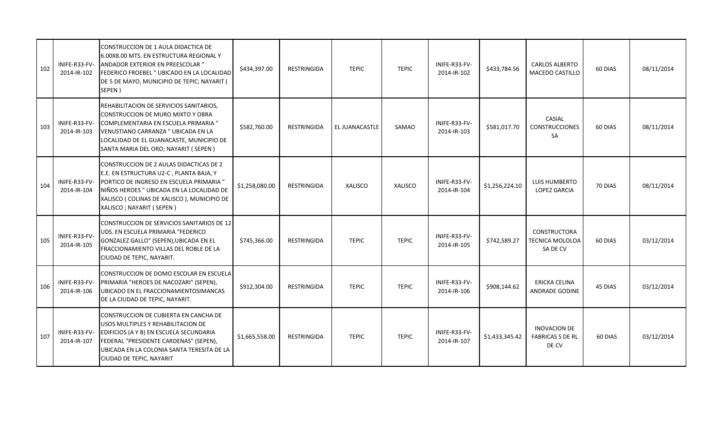| 102 | INIFE-R33-FV-<br>2014-IR-102 | CONSTRUCCION DE 1 AULA DIDACTICA DE<br>6.00X8.00 MTS. EN ESTRUCTURA REGIONAL Y<br>ANDADOR EXTERIOR EN PREESCOLAR "<br>FEDERICO FROEBEL " UBICADO EN LA LOCALIDAD<br>DE 5 DE MAYO, MUNICIPIO DE TEPIC; NAYARIT (<br>SEPEN)                               | \$434,397.00   | RESTRINGIDA        | <b>TEPIC</b>   | <b>TEPIC</b> | INIFE-R33-FV-<br>2014-IR-102 | \$433,784.56   | <b>CARLOS ALBERTO</b><br><b>MACEDO CASTILLO</b>  | 60 DIAS | 08/11/2014 |
|-----|------------------------------|---------------------------------------------------------------------------------------------------------------------------------------------------------------------------------------------------------------------------------------------------------|----------------|--------------------|----------------|--------------|------------------------------|----------------|--------------------------------------------------|---------|------------|
| 103 | INIFE-R33-FV-<br>2014-IR-103 | REHABILITACION DE SERVICIOS SANITARIOS,<br>CONSTRUCCION DE MURO MIXTO Y OBRA<br>COMPLEMENTARIA EN ESCUELA PRIMARIA "<br>VENUSTIANO CARRANZA " UBICADA EN LA<br>LOCALIDAD DE EL GUANACASTE, MUNICIPIO DE<br>SANTA MARIA DEL ORO; NAYARIT (SEPEN)         | \$582,760.00   | RESTRINGIDA        | EL JUANACASTLE | SAMAO        | INIFE-R33-FV-<br>2014-IR-103 | \$581,017.70   | CASIAL<br><b>CONSTRUCCIONES</b><br>SA            | 60 DIAS | 08/11/2014 |
| 104 | INIFE-R33-FV-<br>2014-IR-104 | CONSTRUCCION DE 2 AULAS DIDACTICAS DE 2<br>E.E. EN ESTRUCTURA U2-C, PLANTA BAJA, Y<br>PORTICO DE INGRESO EN ESCUELA PRIMARIA "<br>NIÑOS HEROES " UBICADA EN LA LOCALIDAD DE<br>XALISCO ( COLINAS DE XALISCO ), MUNICIPIO DE<br>XALISCO; NAYARIT (SEPEN) | \$1,258,080.00 | RESTRINGIDA        | <b>XALISCO</b> | XALISCO      | INIFE-R33-FV-<br>2014-IR-104 | \$1,256,224.10 | LUIS HUMBERTO<br><b>LOPEZ GARCIA</b>             | 70 DIAS | 08/11/2014 |
| 105 | INIFE-R33-FV-<br>2014-IR-105 | CONSTRUCCION DE SERVICIOS SANITARIOS DE 12<br>UDS. EN ESCUELA PRIMARIA "FEDERICO<br>GONZALEZ GALLO" (SEPEN), UBICADA EN EL<br>FRACCIONAMIENTO VILLAS DEL ROBLE DE LA<br>CIUDAD DE TEPIC, NAYARIT.                                                       | \$745,366.00   | RESTRINGIDA        | <b>TEPIC</b>   | <b>TEPIC</b> | INIFE-R33-FV-<br>2014-IR-105 | \$742,589.27   | CONSTRUCTORA<br>TECNICA MOLOLOA<br>SA DE CV      | 60 DIAS | 03/12/2014 |
| 106 | INIFE-R33-FV-<br>2014-IR-106 | <b>ICONSTRUCCION DE DOMO ESCOLAR EN ESCUELA</b><br>PRIMARIA "HEROES DE NACOZARI" (SEPEN),<br>UBICADO EN EL FRACCIONAMIENTOSIMANCAS<br>DE LA CIUDAD DE TEPIC, NAYARIT.                                                                                   | \$912,304.00   | <b>RESTRINGIDA</b> | <b>TEPIC</b>   | <b>TEPIC</b> | INIFE-R33-FV-<br>2014-IR-106 | \$908,144.62   | ERICKA CELINA<br><b>ANDRADE GODINE</b>           | 45 DIAS | 03/12/2014 |
| 107 | INIFE-R33-FV-<br>2014-IR-107 | <b>CONSTRUCCION DE CUBIERTA EN CANCHA DE</b><br>USOS MULTIPLES Y REHABILITACION DE<br>EDIFICIOS (A Y B) EN ESCUELA SECUNDARIA<br>FEDERAL "PRESIDENTE CARDENAS" (SEPEN),<br>UBICADA EN LA COLONIA SANTA TERESITA DE LA<br>CIUDAD DE TEPIC, NAYARIT       | \$1,665,558.00 | RESTRINGIDA        | <b>TEPIC</b>   | <b>TEPIC</b> | INIFE-R33-FV-<br>2014-IR-107 | \$1,433,345.42 | INOVACION DE<br><b>FABRICAS S DE RL</b><br>DE CV | 60 DIAS | 03/12/2014 |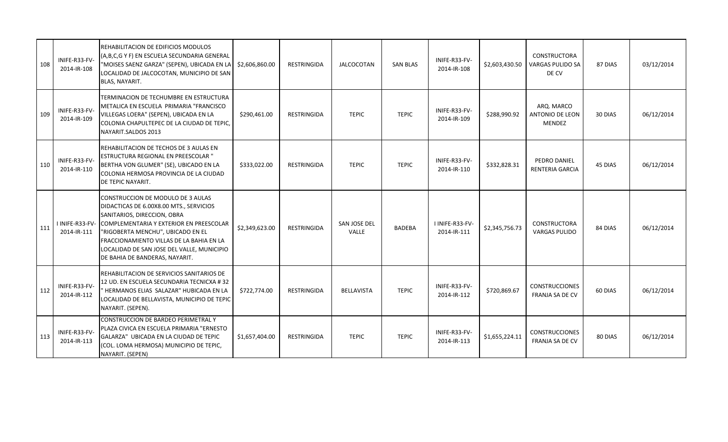| 108 | INIFE-R33-FV-<br>2014-IR-108 | REHABILITACION DE EDIFICIOS MODULOS<br>(A,B,C,G Y F) EN ESCUELA SECUNDARIA GENERAL<br>"MOISES SAENZ GARZA" (SEPEN), UBICADA EN LA<br>LOCALIDAD DE JALCOCOTAN, MUNICIPIO DE SAN<br>BLAS, NAYARIT.                                                                                                                                                | \$2,606,860.00 | <b>RESTRINGIDA</b> | <b>JALCOCOTAN</b>     | <b>SAN BLAS</b> | INIFE-R33-FV-<br>2014-IR-108   | \$2,603,430.50 | <b>CONSTRUCTORA</b><br><b>VARGAS PULIDO SA</b><br>DE CV | 87 DIAS | 03/12/2014 |
|-----|------------------------------|-------------------------------------------------------------------------------------------------------------------------------------------------------------------------------------------------------------------------------------------------------------------------------------------------------------------------------------------------|----------------|--------------------|-----------------------|-----------------|--------------------------------|----------------|---------------------------------------------------------|---------|------------|
| 109 | INIFE-R33-FV-<br>2014-IR-109 | TERMINACION DE TECHUMBRE EN ESTRUCTURA<br>METALICA EN ESCUELA PRIMARIA "FRANCISCO<br>VILLEGAS LOERA" (SEPEN), UBICADA EN LA<br>COLONIA CHAPULTEPEC DE LA CIUDAD DE TEPIC.<br>NAYARIT.SALDOS 2013                                                                                                                                                | \$290,461.00   | <b>RESTRINGIDA</b> | <b>TEPIC</b>          | <b>TEPIC</b>    | INIFE-R33-FV-<br>2014-IR-109   | \$288,990.92   | ARQ. MARCO<br>ANTONIO DE LEON<br><b>MENDEZ</b>          | 30 DIAS | 06/12/2014 |
| 110 | INIFE-R33-FV-<br>2014-IR-110 | REHABILITACION DE TECHOS DE 3 AULAS EN<br><b>ESTRUCTURA REGIONAL EN PREESCOLAR "</b><br>BERTHA VON GLUMER" (SE), UBICADO EN LA<br>COLONIA HERMOSA PROVINCIA DE LA CIUDAD<br><b>DE TEPIC NAYARIT.</b>                                                                                                                                            | \$333,022.00   | RESTRINGIDA        | <b>TEPIC</b>          | <b>TEPIC</b>    | INIFE-R33-FV-<br>2014-IR-110   | \$332,828.31   | PEDRO DANIEL<br><b>RENTERIA GARCIA</b>                  | 45 DIAS | 06/12/2014 |
| 111 | 2014-IR-111                  | CONSTRUCCION DE MODULO DE 3 AULAS<br>DIDACTICAS DE 6.00X8.00 MTS., SERVICIOS<br>SANITARIOS, DIRECCION, OBRA<br>I INIFE-R33-FV- COMPLEMENTARIA Y EXTERIOR EN PREESCOLAR<br>"RIGOBERTA MENCHU", UBICADO EN EL<br><b>IFRACCIONAMIENTO VILLAS DE LA BAHIA EN LA</b><br>LOCALIDAD DE SAN JOSE DEL VALLE, MUNICIPIO<br>DE BAHIA DE BANDERAS, NAYARIT. | \$2,349,623.00 | <b>RESTRINGIDA</b> | SAN JOSE DEL<br>VALLE | <b>BADEBA</b>   | I INIFE-R33-FV-<br>2014-IR-111 | \$2,345,756.73 | <b>CONSTRUCTORA</b><br><b>VARGAS PULIDO</b>             | 84 DIAS | 06/12/2014 |
| 112 | INIFE-R33-FV-<br>2014-IR-112 | <b>IREHABILITACION DE SERVICIOS SANITARIOS DE</b><br>12 UD. EN ESCUELA SECUNDARIA TECNICXA # 32<br>HERMANOS ELIAS SALAZAR" HUBICADA EN LA<br>LOCALIDAD DE BELLAVISTA, MUNICIPIO DE TEPIC<br>NAYARIT. (SEPEN).                                                                                                                                   | \$722,774.00   | RESTRINGIDA        | <b>BELLAVISTA</b>     | <b>TEPIC</b>    | INIFE-R33-FV-<br>2014-IR-112   | \$720,869.67   | <b>CONSTRUCCIONES</b><br>FRANJA SA DE CV                | 60 DIAS | 06/12/2014 |
| 113 | INIFE-R33-FV-<br>2014-IR-113 | CONSTRUCCION DE BARDEO PERIMETRAL Y<br>PLAZA CIVICA EN ESCUELA PRIMARIA "ERNESTO<br>GALARZA" UBICADA EN LA CIUDAD DE TEPIC<br>(COL. LOMA HERMOSA) MUNICIPIO DE TEPIC,<br>NAYARIT. (SEPEN)                                                                                                                                                       | \$1,657,404.00 | RESTRINGIDA        | <b>TEPIC</b>          | <b>TEPIC</b>    | INIFE-R33-FV-<br>2014-IR-113   | \$1,655,224.11 | <b>CONSTRUCCIONES</b><br><b>FRANJA SA DE CV</b>         | 80 DIAS | 06/12/2014 |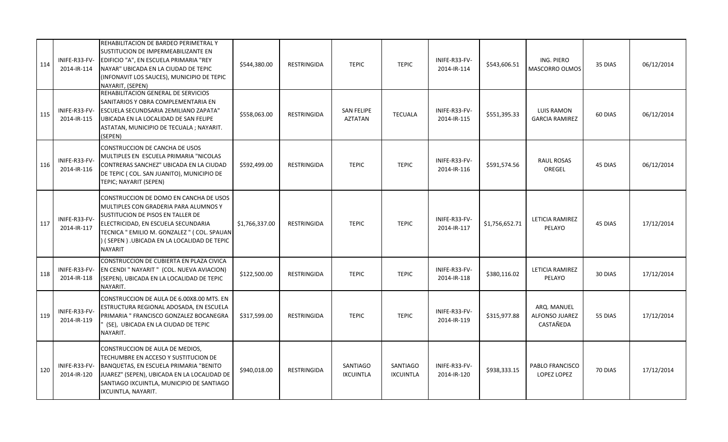| 114 | INIFE-R33-FV-<br>2014-IR-114 | REHABILITACION DE BARDEO PERIMETRAL Y<br>SUSTITUCION DE IMPERMEABILIZANTE EN<br>EDIFICIO "A", EN ESCUELA PRIMARIA "REY<br>NAYAR" UBICADA EN LA CIUDAD DE TEPIC<br>INFONAVIT LOS SAUCES), MUNICIPIO DE TEPIC<br>NAYARIT, (SEPEN)                                         | \$544,380.00   | RESTRINGIDA        | <b>TEPIC</b>                        | <b>TEPIC</b>                        | INIFE-R33-FV-<br>2014-IR-114 | \$543,606.51   | ING. PIERO<br>MASCORRO OLMOS                      | 35 DIAS | 06/12/2014 |
|-----|------------------------------|-------------------------------------------------------------------------------------------------------------------------------------------------------------------------------------------------------------------------------------------------------------------------|----------------|--------------------|-------------------------------------|-------------------------------------|------------------------------|----------------|---------------------------------------------------|---------|------------|
| 115 | INIFE-R33-FV-<br>2014-IR-115 | REHABILITACION GENERAL DE SERVICIOS<br>SANITARIOS Y OBRA COMPLEMENTARIA EN<br>ESCUELA SECUNDSARIA 2EMILIANO ZAPATA"<br>UBICADA EN LA LOCALIDAD DE SAN FELIPE<br>ASTATAN, MUNICIPIO DE TECUALA ; NAYARIT.<br>(SEPEN)                                                     | \$558,063.00   | RESTRINGIDA        | <b>SAN FELIPE</b><br><b>AZTATAN</b> | <b>TECUALA</b>                      | INIFE-R33-FV-<br>2014-IR-115 | \$551,395.33   | <b>LUIS RAMON</b><br><b>GARCIA RAMIREZ</b>        | 60 DIAS | 06/12/2014 |
| 116 | INIFE-R33-FV-<br>2014-IR-116 | CONSTRUCCION DE CANCHA DE USOS<br>MULTIPLES EN ESCUELA PRIMARIA "NICOLAS<br>CONTRERAS SANCHEZ" UBICADA EN LA CIUDAD<br>DE TEPIC (COL. SAN JUANITO), MUNICIPIO DE<br>TEPIC; NAYARIT (SEPEN)                                                                              | \$592,499.00   | RESTRINGIDA        | <b>TEPIC</b>                        | <b>TEPIC</b>                        | INIFE-R33-FV-<br>2014-IR-116 | \$591,574.56   | <b>RAUL ROSAS</b><br>OREGEL                       | 45 DIAS | 06/12/2014 |
| 117 | INIFE-R33-FV-<br>2014-IR-117 | CONSTRUCCION DE DOMO EN CANCHA DE USOS<br>MULTIPLES CON GRADERIA PARA ALUMNOS Y<br>SUSTITUCION DE PISOS EN TALLER DE<br>ELECTRICIDAD, EN ESCUELA SECUNDARIA<br>TECNICA " EMILIO M. GONZALEZ " ( COL. SPAUAN<br>) ( SEPEN ) .UBICADA EN LA LOCALIDAD DE TEPIC<br>NAYARIT | \$1,766,337.00 | <b>RESTRINGIDA</b> | <b>TEPIC</b>                        | <b>TEPIC</b>                        | INIFE-R33-FV-<br>2014-IR-117 | \$1,756,652.71 | LETICIA RAMIREZ<br>PELAYO                         | 45 DIAS | 17/12/2014 |
| 118 | INIFE-R33-FV-<br>2014-IR-118 | CONSTRUCCION DE CUBIERTA EN PLAZA CIVICA<br>EN CENDI " NAYARIT " (COL. NUEVA AVIACION)<br>(SEPEN), UBICADA EN LA LOCALIDAD DE TEPIC<br>NAYARIT.                                                                                                                         | \$122,500.00   | RESTRINGIDA        | <b>TEPIC</b>                        | <b>TEPIC</b>                        | INIFE-R33-FV-<br>2014-IR-118 | \$380,116.02   | LETICIA RAMIREZ<br>PELAYO                         | 30 DIAS | 17/12/2014 |
| 119 | INIFE-R33-FV-<br>2014-IR-119 | CONSTRUCCION DE AULA DE 6.00X8.00 MTS. EN<br>ESTRUCTURA REGIONAL ADOSADA, EN ESCUELA<br>PRIMARIA " FRANCISCO GONZALEZ BOCANEGRA<br>(SE), UBICADA EN LA CIUDAD DE TEPIC<br>NAYARIT.                                                                                      | \$317,599.00   | <b>RESTRINGIDA</b> | <b>TEPIC</b>                        | <b>TEPIC</b>                        | INIFE-R33-FV-<br>2014-IR-119 | \$315,977.88   | ARQ. MANUEL<br><b>ALFONSO JUAREZ</b><br>CASTAÑEDA | 55 DIAS | 17/12/2014 |
| 120 | INIFE-R33-FV-<br>2014-IR-120 | CONSTRUCCION DE AULA DE MEDIOS,<br>TECHUMBRE EN ACCESO Y SUSTITUCION DE<br>BANQUETAS, EN ESCUELA PRIMARIA "BENITO<br>JUAREZ" (SEPEN), UBICADA EN LA LOCALIDAD DE<br>SANTIAGO IXCUINTLA, MUNICIPIO DE SANTIAGO<br>IXCUINTLA, NAYARIT.                                    | \$940,018.00   | RESTRINGIDA        | <b>SANTIAGO</b><br><b>IXCUINTLA</b> | <b>SANTIAGO</b><br><b>IXCUINTLA</b> | INIFE-R33-FV-<br>2014-IR-120 | \$938,333.15   | PABLO FRANCISCO<br>LOPEZ LOPEZ                    | 70 DIAS | 17/12/2014 |